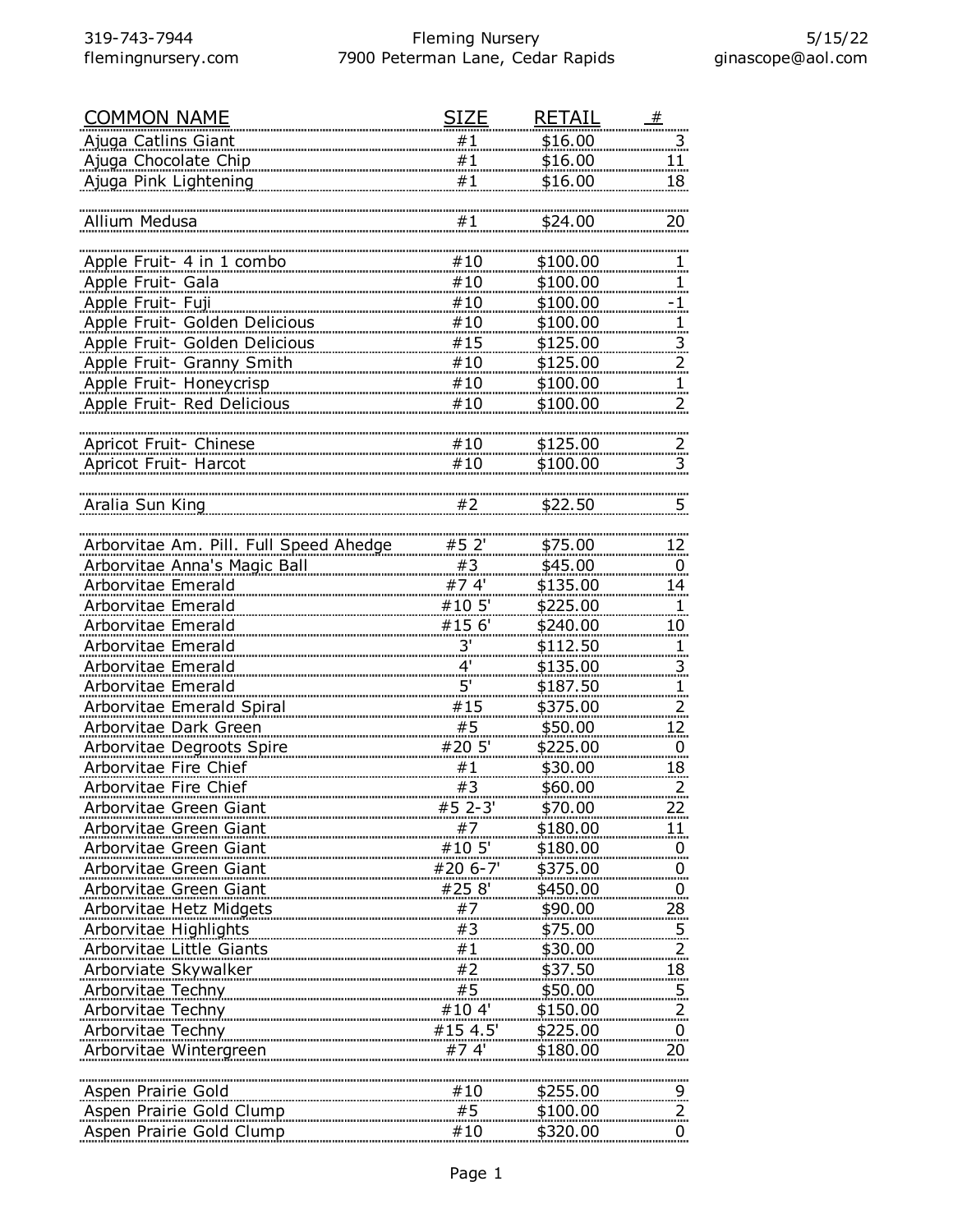| <b>COMMON NAME</b>                     | SIZE            | RETAIL   | #                       |
|----------------------------------------|-----------------|----------|-------------------------|
| Ajuga Catlins Giant                    | #1              | \$16.00  | $\overline{\mathbf{3}}$ |
| Ajuga Chocolate Chip                   | #1              | \$16.00  | 11                      |
| Ajuga Pink Lightening                  | #1              | \$16.00  | 18                      |
|                                        |                 |          |                         |
| Allium Medusa                          | #1              | \$24.00  | 20                      |
|                                        |                 |          |                         |
| Apple Fruit- 4 in 1 combo              | #10             | \$100.00 | $\mathbf{1}$            |
| Apple Fruit- Gala                      | #10             | \$100.00 | 1.                      |
| Apple Fruit- Fuji                      | #10             | \$100.00 | $\cdot$ 1               |
| Apple Fruit- Golden Delicious          | #10             | \$100.00 | 1.                      |
| Apple Fruit- Golden Delicious          | #15             | \$125.00 |                         |
| Apple Fruit- Granny Smith              | #10             | \$125.00 | 3.                      |
| Apple Fruit- Honeycrisp                | #10             | \$100.00 | 2.                      |
|                                        | #10             | \$100.00 |                         |
| Apple Fruit- Red Delicious             |                 |          | 2.                      |
|                                        |                 |          |                         |
| Apricot Fruit- Chinese                 | #10             | \$125.00 | $\overline{2}$          |
| Apricot Fruit- Harcot                  | #10             | \$100.00 | 3.                      |
|                                        |                 |          |                         |
| Aralia Sun King                        | #2              | \$22.50  | <u>5</u>                |
|                                        |                 |          |                         |
| Arborvitae Am. Pill. Full Speed Ahedge | #5 2'           | \$75.00  | <u>12 </u>              |
| Arborvitae Anna's Magic Ball           | #3              | \$45.00  | 0                       |
| Arborvitae Emerald                     | #74'            | \$135.00 | 14                      |
| Arborvitae Emerald                     | #10 5'          | \$225.00 | 1.                      |
| Arborvitae Emerald                     | #15 6'          | \$240.00 | 10 <sub>2</sub>         |
| Arborvitae Emerald                     | $\frac{3!}{4!}$ | \$112.50 | $\overline{1}$          |
| <b>Arborvitae Emerald</b>              |                 | \$135.00 | 3                       |
| Arborvitae Emerald                     | 5'              | \$187.50 | $\mathbf{1}$            |
| Arborvitae Emerald Spiral              | #15             | \$375.00 | $\frac{2}{\pi}$         |
| Arborvitae Dark Green                  | #5              | \$50.00  | <u> 12 </u>             |
| Arborvitae Degroots Spire              | #20 5'          | \$225.00 | $\overline{0}$          |
| Arborvitae Fire Chief                  | #1              | \$30.00  | <u>18 </u>              |
| <b>Arborvitae Fire Chief</b>           | #3              | \$60.00  | $\overline{a}$          |
| Arborvitae Green Giant                 | $#5$ 2-3'       | \$70.00  | 22.                     |
| Arborvitae Green Giant                 | #7              | \$180.00 | 11                      |
| Arborvitae Green Giant                 | #10 5'          | \$180.00 | $\overline{0}$          |
| Arborvitae Green Giant                 | #20 6-7'        | \$375.00 | $\overline{0}$          |
| Arborvitae Green Giant                 | #25.8'          | \$450.00 | $\overline{0}$          |
| <b>Arborvitae Hetz Midgets</b>         | #7              | \$90.00  |                         |
| Arborvitae Highlights                  | #3              | \$75.00  | 28                      |
|                                        |                 |          | $\overline{5}$          |
| Arborvitae Little Giants               | #1<br>#2        | \$30.00  | <u>.2.</u>              |
| Arborviate Skywalker                   |                 | \$37.50  | <u>18 </u>              |
| Arborvitae Techny                      | #5              | \$50.00  | $\overline{5}$          |
| Arborvitae Techny                      | #104'           | \$150.00 | $\overline{a}$          |
| Arborvitae Techny                      | #15 4.5'        | \$225.00 | $\overline{0}$          |
| Arborvitae Wintergreen                 | #74'            | \$180.00 | 20 <sub>2</sub>         |
|                                        |                 |          |                         |
| Aspen Prairie Gold                     | #10             | \$255.00 | $\overline{9}$          |
| Aspen Prairie Gold Clump               | #5              | \$100.00 | $\overline{2}$          |
| Aspen Prairie Gold Clump               | #10             | \$320.00 | $\overline{0}$          |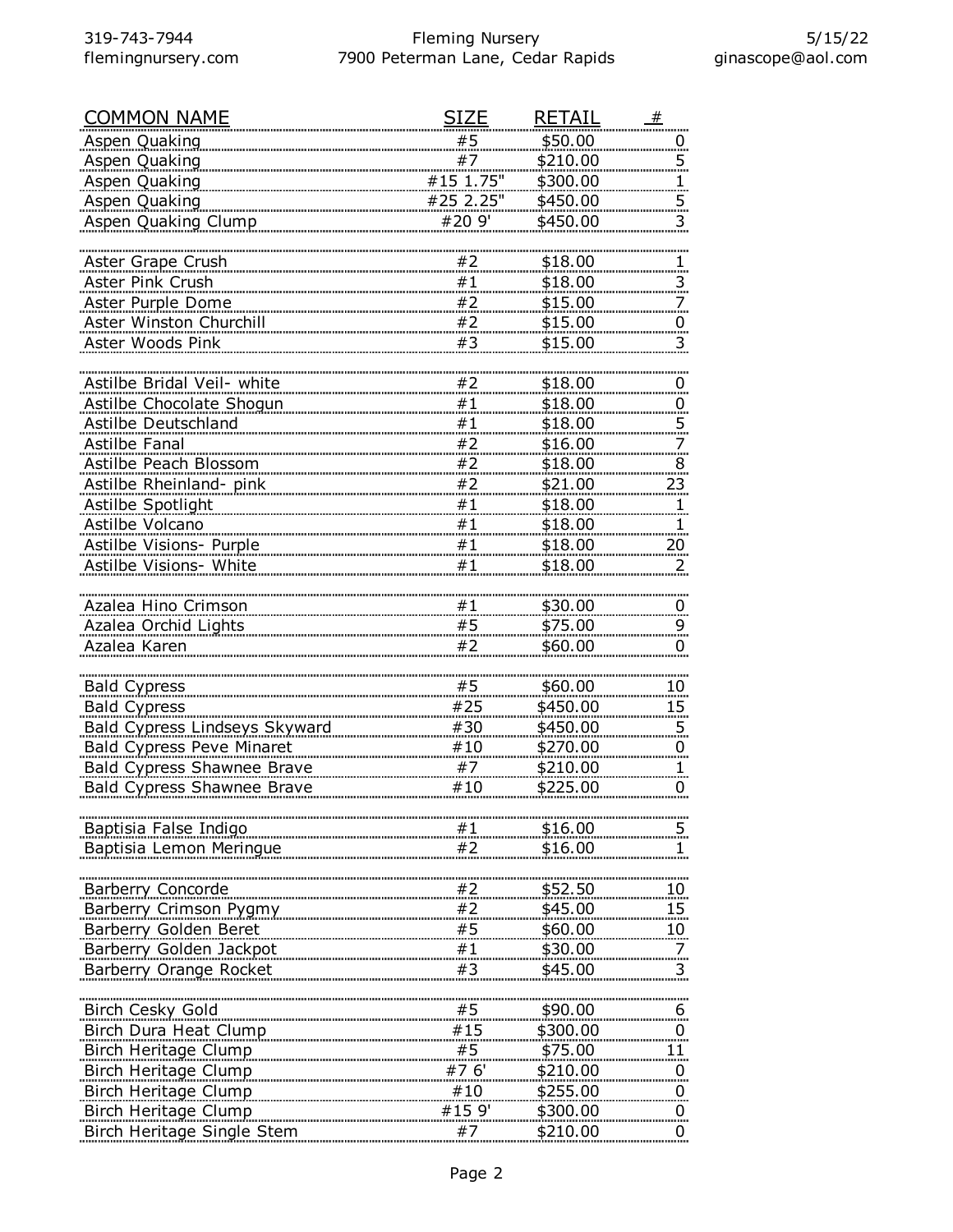| <b>COMMON NAME</b>                               | SIZE      | <b>RETAIL</b> | #                    |
|--------------------------------------------------|-----------|---------------|----------------------|
| <b>Aspen Quaking</b>                             | #5        | \$50.00       | $\overline{0}$       |
| <b>Aspen Quaking</b>                             | #7        | \$210.00      | 5                    |
| <b>Aspen Quaking</b>                             | #15 1.75" | \$300.00      | 1                    |
| Aspen Quaking                                    | #25 2.25" | \$450.00      | $\overline{5}$       |
| Aspen Quaking Clump                              | #20 9'    | \$450.00      | 3                    |
|                                                  |           |               |                      |
| Aster Grape Crush                                | #2        | \$18.00       | $\overline{1}$       |
| Aster Pink Crush                                 | #1        | \$18.00       | $\overline{3}$       |
| Aster Purple Dome                                | #2        | \$15.00       | 7                    |
| Aster Winston Churchill                          | #2        | \$15.00       | $\overline{0}$       |
| Aster Woods Pink                                 | #3        | \$15.00       | 3                    |
|                                                  |           |               |                      |
| Astilbe Bridal Veil- white                       | #2        | \$18.00       | $\overline{0}$       |
| Astilbe Chocolate Shogun                         | #1        | \$18.00       | $\overline{0}$       |
| Astilbe Deutschland                              | #1        | \$18.00       | $\overline{5}$       |
| Astilbe Fanal                                    | #2        | \$16.00       | 7                    |
| Astilbe Peach Blossom                            | #2        | \$18.00       | 8                    |
| Astilbe Rheinland- pink                          | #2        | \$21.00       | <u>23 </u>           |
| <b>Astilbe Spotlight</b>                         | #1        | \$18.00       | 1                    |
| Astilbe Volcano                                  | #1        | \$18.00       | 1                    |
| Astilbe Visions- Purple                          | #1        | \$18.00       | 20                   |
| Astilbe Visions- White                           | #1        | \$18.00       | 2                    |
|                                                  |           |               |                      |
| Azalea Hino Crimson                              | #1        | \$30.00       |                      |
| Azalea Orchid Lights                             | #5        | \$75.00       | $\overline{0}$       |
| Azalea Karen                                     | #2        | \$60.00       | $\overline{9}$<br>0  |
|                                                  |           |               |                      |
| <b>Bald Cypress</b>                              | #5        | \$60.00       | <u>10</u>            |
| <b>Bald Cypress</b>                              | #25       | \$450.00      | 15                   |
| Bald Cypress Lindseys Skyward                    | #30       | \$450.00      | $\overline{5}$       |
| <b>Bald Cypress Peve Minaret</b>                 | #10       | \$270.00      | $\overline{0}$       |
| <b>Bald Cypress Shawnee Brave</b>                | #7        | \$210.00      | $\overline{1}$       |
| Bald Cypress Shawnee Brave                       | #10       | \$225.00      | 0                    |
|                                                  |           |               |                      |
| Baptisia False Indigo                            | #1        | \$16.00       | $\overline{5}$       |
| Baptisia Lemon Meringue                          | #2        | \$16.00       |                      |
|                                                  |           |               |                      |
| Barberry Concorde                                | #2        | \$52.50       | $10 \,$              |
| <b>Barberry Crimson Pygmy</b>                    | #2        | \$45.00       | 15 <sub>1</sub>      |
| <b>Barberry Golden Beret</b>                     | #5        | \$60.00       |                      |
| Barberry Golden Jackpot                          | $\# \, 1$ | \$30.00       | <u> 10</u>           |
| Barberry Orange Rocket                           | #3        | \$45.00       | 7<br>3               |
|                                                  |           |               |                      |
|                                                  |           |               |                      |
| <b>Birch Cesky Gold</b><br>Birch Dura Heat Clump | #5<br>#15 | \$90.00       | 6                    |
|                                                  |           | \$300.00      | $\overline{0}$<br>11 |
| <b>Birch Heritage Clump</b>                      | #5        | \$75.00       |                      |
| Birch Heritage Clump                             | #76'      | \$210.00      | $\overline{0}$       |
| Birch Heritage Clump                             | #10       | \$255.00      | $\overline{0}$       |
| <b>Birch Heritage Clump</b>                      | #159'     | \$300.00      | $\overline{0}$       |
| Birch Heritage Single Stem                       | #7        | \$210.00      | $\overline{0}$       |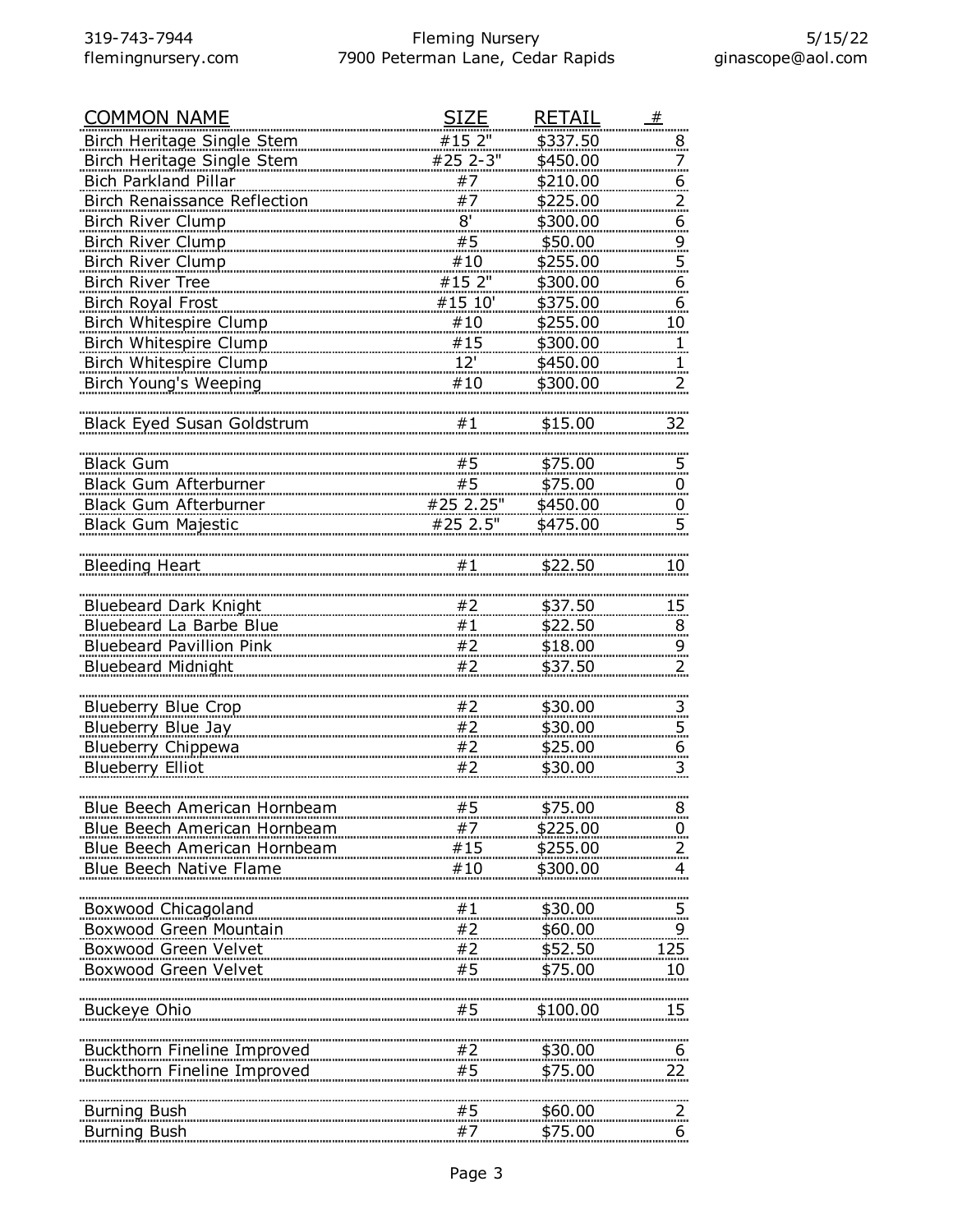| <b>COMMON NAME</b>                  | SIZE      | <b>RETAIL</b>  | #                   |
|-------------------------------------|-----------|----------------|---------------------|
| Birch Heritage Single Stem          | #15 2"    | \$337.50       | 8                   |
| Birch Heritage Single Stem          | #25 2-3"  | \$450.00       | 7                   |
| Bich Parkland Pillar                | #7        | \$210.00       | 6                   |
| Birch Renaissance Reflection        | #7        | \$225.00       | 2.                  |
| Birch River Clump                   | 8'        | \$300.00       | 6                   |
| Birch River Clump                   | #5        | \$50.00        | $\overline{9}$      |
| <b>Birch River Clump</b>            | #10       | \$255.00       | $\overline{5}$      |
| <b>Birch River Tree</b>             | #15 2"    | \$300.00       | 6                   |
| Birch Royal Frost                   | #15 10'   | \$375.00       | 6                   |
| Birch Whitespire Clump              | #10       | \$255.00       | 10                  |
| Birch Whitespire Clump              | #15       | \$300.00       | $\overline{1}$      |
| Birch Whitespire Clump              | 12'       | \$450.00       |                     |
| Birch Young's Weeping               | #10       | \$300.00       |                     |
|                                     |           |                | 2.                  |
| <b>Black Eyed Susan Goldstrum</b>   | #1        | \$15.00        | 32                  |
|                                     |           |                |                     |
| <b>Black Gum</b>                    | #5        | \$75.00        | 5                   |
| Black Gum Afterburner               | #5        | \$75.00        | $\overline{0}$      |
| Black Gum Afterburner               | #25 2.25" | \$450.00       |                     |
| <b>Black Gum Majestic</b>           | #25 2.5"  | \$475.00       | $\overline{0}$<br>5 |
|                                     |           |                |                     |
| <b>Bleeding Heart</b>               | #1        | \$22.50        | 10                  |
|                                     |           |                |                     |
| <b>Bluebeard Dark Knight</b>        | #2        | \$37.50        | 15 <sub>1</sub>     |
| Bluebeard La Barbe Blue             | #1        | \$22.50        |                     |
| <b>Bluebeard Pavillion Pink</b>     | #2        | \$18.00        | 8                   |
| <b>Bluebeard Midnight</b>           | #2        | \$37.50        | 9<br>$\overline{2}$ |
|                                     |           |                |                     |
| <b>Blueberry Blue Crop</b>          | #2        | \$30.00        |                     |
| Blueberry Blue Jay                  | #2        | \$30.00        | 3                   |
| Blueberry Chippewa                  | #2        | \$25.00        | $\overline{5}$      |
|                                     | #2        |                | $\overline{6}$<br>3 |
| <b>Blueberry Elliot</b>             |           | \$30.00        |                     |
|                                     |           |                |                     |
| <u>Blue Beech American Hornbeam</u> | #5        | <u>\$75.00</u> | $8 \overline{)}$    |
| Blue Beech American Hornbeam        | #7        | \$225.00       | $\overline{0}$      |
| Blue Beech American Hornbeam        | #15       | \$255.00       |                     |
| Blue Beech Native Flame             | #10       | \$300.00       | 4                   |
|                                     |           |                |                     |
| Boxwood Chicagoland                 | #1        | \$30.00        | $\overline{5}$ .    |
| Boxwood Green Mountain              | #2        | \$60.00        | 9                   |
| Boxwood Green Velvet                | #2        | \$52.50        | 125                 |
| Boxwood Green Velvet                | #5        | \$75.00        | 10                  |
|                                     |           |                |                     |
| Buckeye Ohio                        | #5        | \$100.00       | 15                  |
|                                     |           |                |                     |
| Buckthorn Fineline Improved         | #2        | \$30.00        | 6                   |
| Buckthorn Fineline Improved         | #5        | \$75.00        | 22.                 |
|                                     |           |                |                     |
| <b>Burning Bush</b>                 | #5        | \$60.00        | 2.                  |
| <b>Burning Bush</b>                 | #7        | \$75.00        | 6                   |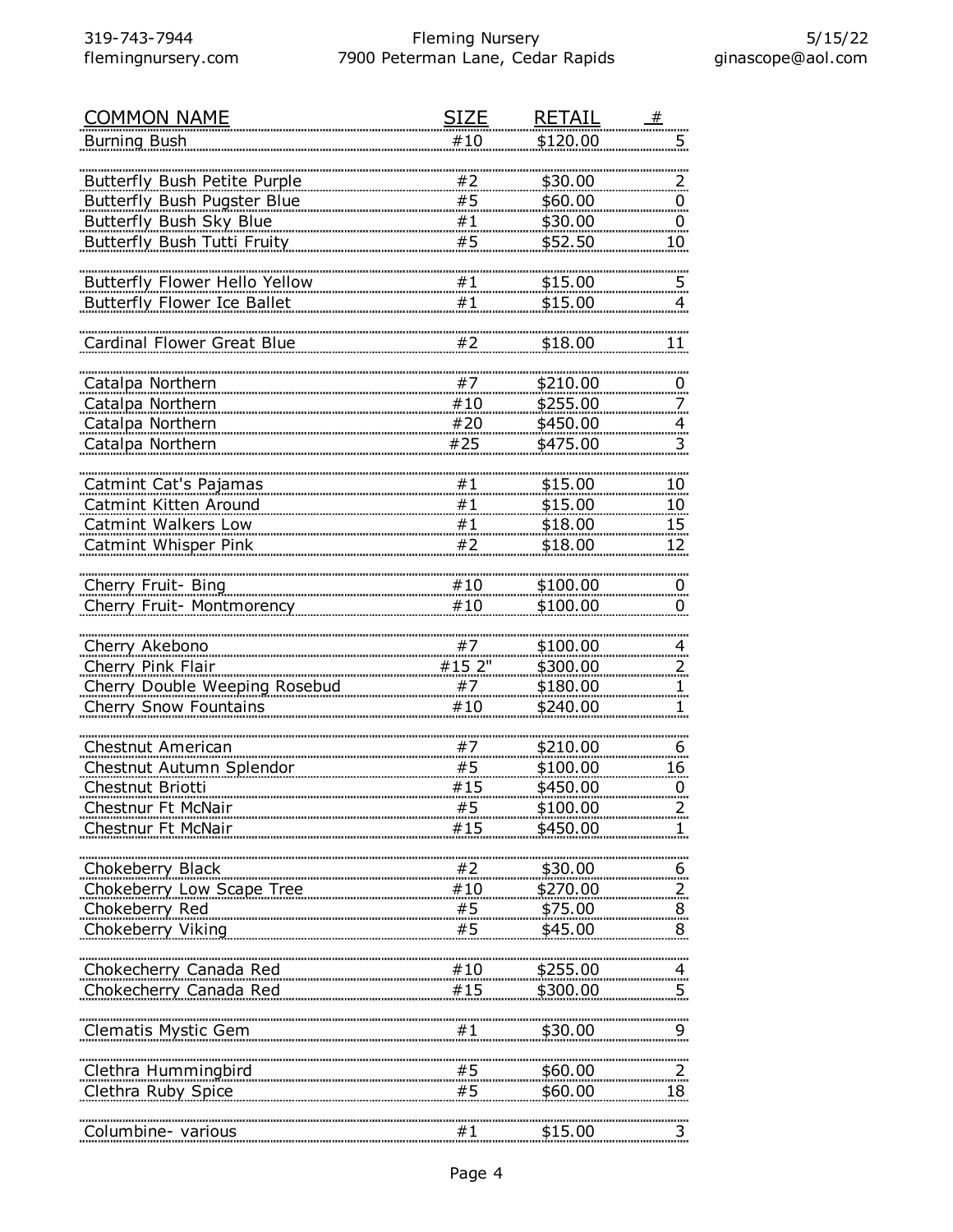| <b>COMMON NAME</b>                    | SIZE   | <b>RETAIL</b> | #                                         |
|---------------------------------------|--------|---------------|-------------------------------------------|
| <b>Burning Bush</b>                   | #10    | \$120.00      | 5                                         |
|                                       |        |               |                                           |
| Butterfly Bush Petite Purple          | #2     | \$30.00       | $\overline{z}$                            |
| <b>Butterfly Bush Pugster Blue</b>    | #5     | \$60.00       | $\overline{0}$                            |
| <b>Butterfly Bush Sky Blue</b>        | #1     | \$30.00       | 0                                         |
| Butterfly Bush Tutti Fruity           | #5     | \$52.50       | 10 <sub>1</sub>                           |
|                                       |        |               |                                           |
| Butterfly Flower Hello Yellow         | #1     | \$15.00       | 5                                         |
| <b>Butterfly Flower Ice Ballet</b>    | #1     | \$15.00       | 4                                         |
|                                       |        |               |                                           |
| Cardinal Flower Great Blue            | #2     | \$18.00       | 11                                        |
|                                       |        |               |                                           |
| Catalpa Northern                      | #7     | \$210.00      | $\overline{0}$                            |
| Catalpa Northern                      | #10    | \$255.00      | 7                                         |
| Catalpa Northern                      | #20    | \$450.00      |                                           |
| Catalpa Northern                      | #25    | \$475.00      | $\overline{4}$<br>$\overline{\mathbf{3}}$ |
|                                       |        |               |                                           |
| <b>Catmint Cat's Pajamas</b>          | #1     | \$15.00       |                                           |
| Catmint Kitten Around                 | #1     | \$15.00       | <u>10</u><br>10                           |
| <b>Catmint Walkers Low</b>            | #1     | \$18.00       | 15                                        |
|                                       | #2     | \$18.00       |                                           |
| Catmint Whisper Pink                  |        |               | 12                                        |
|                                       | #10    |               |                                           |
| Cherry Fruit- Bing                    |        | \$100.00      | $\overline{0}$                            |
| Cherry Fruit- Montmorency             | #10    | \$100.00      | 0                                         |
|                                       |        |               |                                           |
| Cherry Akebono                        | #7     | \$100.00      | $\overline{4}$                            |
| Cherry Pink Flair                     | #15 2" | \$300.00      | $\overline{z}$                            |
| Cherry Double Weeping Rosebud         | #7     | \$180.00      | 1.                                        |
| Cherry Snow Fountains                 | #10    | \$240.00      |                                           |
|                                       |        |               |                                           |
| Chestnut American                     | #7     | \$210.00      | 6                                         |
| Chestnut Autumn Splendor              | #5     | \$100.00      | 16                                        |
| Chestnut Briotti                      | #15    | \$450.00      | $\overline{0}$                            |
| Chestnur Ft McNair                    | #5     | \$100.00      | 2.                                        |
| Chestnur Ft McNair                    | #15    | \$450.00      |                                           |
|                                       |        |               |                                           |
| Chokeberry Black                      |        | \$30.00       | $6 \overline{6}$                          |
| Chokeberry Low Scape Tree #10         |        | \$270.00      | $\frac{2}{2}$                             |
| Chokeberry Red                        | #5     | \$75.00       | $\overline{8}$                            |
| Chokeberry Viking                     | #5     | \$45.00       | 8                                         |
|                                       |        |               |                                           |
| Chokecherry Canada Red 10 100 100 100 |        | \$255.00      |                                           |
| Chokecherry Canada Red                | #15    | \$300.00      | 5                                         |
|                                       |        |               |                                           |
| <b>Clematis Mystic Gem</b>            | #1     | \$30.00       |                                           |
|                                       |        |               |                                           |
| Clethra Hummingbird                   |        | \$60.00       | 2                                         |
| Clethra Ruby Spice                    | #5     | \$60.00       | 18                                        |
|                                       |        |               |                                           |
| Columbine- various                    | #1     | \$15.00       | $\frac{3}{2}$                             |
|                                       |        |               |                                           |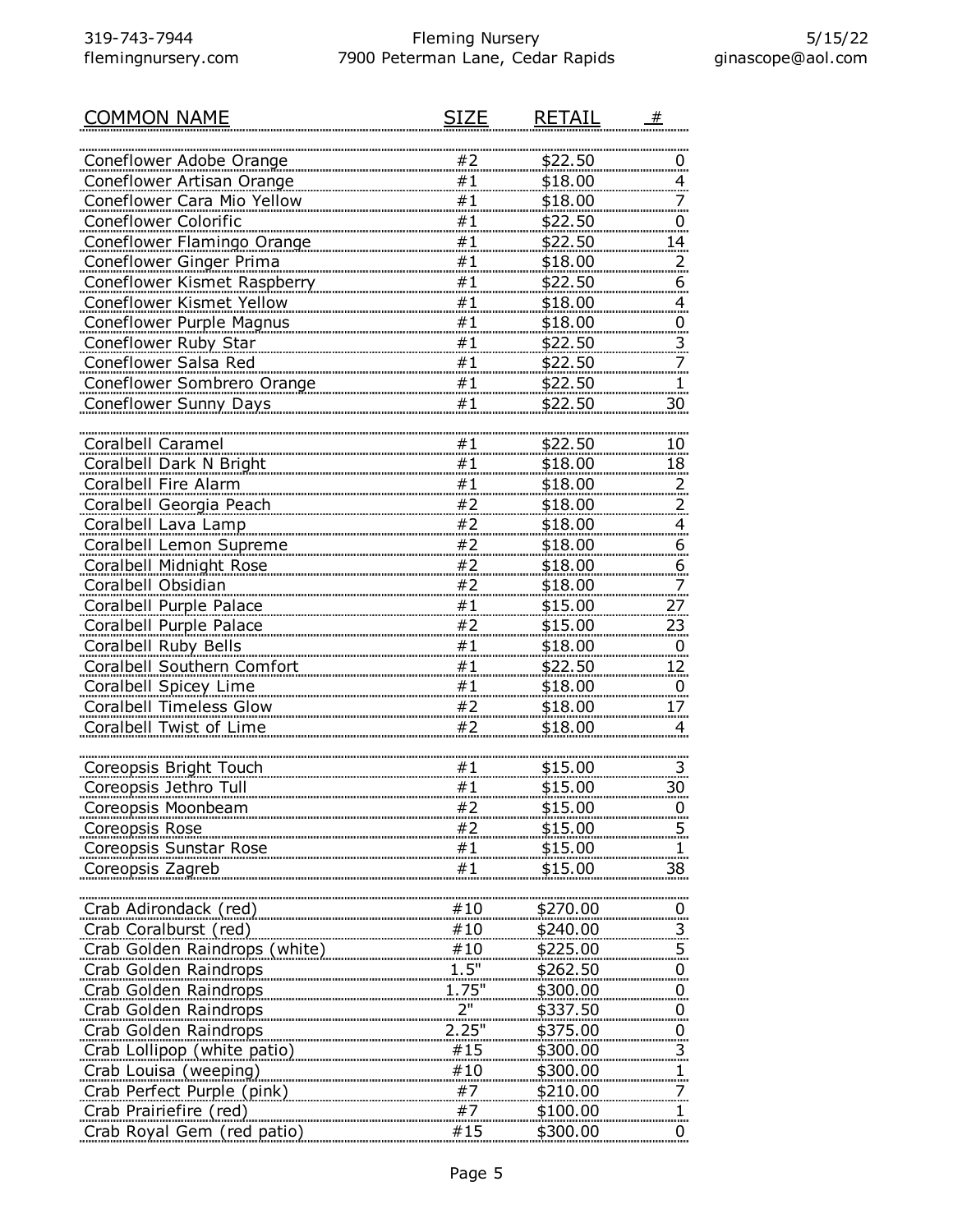| COMMON NAME                     | SI7F  | <b>RETAIL</b>   | 一生                       |
|---------------------------------|-------|-----------------|--------------------------|
|                                 |       |                 |                          |
| Coneflower Adobe Orange         | #2    | \$22.50         | 0                        |
| Coneflower Artisan Orange       | #1    | \$18.00         | $\overline{4}$           |
| Coneflower Cara Mio Yellow      | #1    | \$18.00         | 7                        |
| Coneflower Colorific            | #1    | \$22.50         | 0                        |
| Coneflower Flamingo Orange      | #1    | \$22.50         | 14                       |
| Coneflower Ginger Prima         | #1    | \$18.00         | $\overline{z}$           |
| Coneflower Kismet Raspberry     | #1    | \$22.50         | 6                        |
| Coneflower Kismet Yellow        | #1    | \$18.00         | 4                        |
| <b>Coneflower Purple Magnus</b> | #1    | \$18.00         | $\overline{0}$           |
| Coneflower Ruby Star            | #1    | \$22.50         | $\overline{3}$           |
| Coneflower Salsa Red            | #1    | <u>\$22.50</u>  | $\overline{\phantom{a}}$ |
| Coneflower Sombrero Orange      | #1    | \$22.50         | 1                        |
| Coneflower Sunny Days           | #1    | \$22.50         | 30                       |
|                                 |       |                 |                          |
| <b>Coralbell Caramel</b>        | #1    | \$22.50         | 10                       |
| Coralbell Dark N Bright         | #1    | \$18.00         | 18                       |
| Coralbell Fire Alarm            | #1    | \$18.00         | $\overline{z}$           |
| Coralbell Georgia Peach         | #2    | \$18.00         | $\overline{z}$           |
| Coralbell Lava Lamp             | #2    | \$18.00         | $\overline{4}$           |
| Coralbell Lemon Supreme         | #2    | \$18.00         | 6                        |
| Coralbell Midnight Rose         | #2    | \$18.00         | <u><sub>6</sub></u>      |
| Coralbell Obsidian              | #2    | \$18.00         | $\overline{z}$           |
| Coralbell Purple Palace         | #1    | \$15.00         | <u>27 </u>               |
| Coralbell Purple Palace         | #2    | \$15.00         | <u>23</u>                |
| Coralbell Ruby Bells            | #1    | \$18.00         | 0                        |
| Coralbell Southern Comfort      | #1    | \$22.50         | 12                       |
| Coralbell Spicey Lime           | #1    | \$18.00         | $\overline{0}$           |
| <b>Coralbell Timeless Glow</b>  | #2    | \$18.00         | 17                       |
| Coralbell Twist of Lime         | #2    | \$18.00         | 4                        |
|                                 |       |                 |                          |
| Coreopsis Bright Touch          | #1    | \$15.00         | 3                        |
| Coreopsis Jethro Tull           | #1    | \$15.00         | 30                       |
| Coreopsis Moonbeam              | #2    | <u>\$15.00</u>  | $\overline{0}$           |
| <b>Coreopsis Rose</b>           | #2    | \$15.00         | 5                        |
| Coreopsis Sunstar Rose          | #1    | \$15.00         | <u>1</u>                 |
| Coreopsis Zagreb                | #1    | \$15.00         | 38                       |
|                                 |       |                 |                          |
| Crab Adirondack (red)           | #10   | \$270.00        | $\overline{0}$           |
| Crab Coralburst (red)           | #10   | \$240.00        | $\overline{\mathbf{3}}$  |
| Crab Golden Raindrops (white)   | #10   | \$225.00        | $\overline{5}$           |
| Crab Golden Raindrops           | 1.5"  | <u>\$262.50</u> |                          |
| .<br>Crab Golden Raindrops      | 1.75" | \$300.00        | $\overline{0}$           |
| Crab Golden Raindrops           | 2"    | \$337.50        | $\overline{0}$           |
| Crab Golden Raindrops           | 2.25" | \$375.00        | $\overline{0}$           |
|                                 | #15   |                 | $\overline{0}$           |
| Crab Lollipop (white patio)     |       | \$300.00        | $\overline{3}$           |
| Crab Louisa (weeping)           |       | \$300.00        | $\mathbf{1}$             |
| Crab Perfect Purple (pink)      | #7    | \$210.00        | 7                        |
| Crab Prairiefire (red)          | #7    | \$100.00        | 1                        |

Crab Royal Gem (red patio) #15 \$300.00 0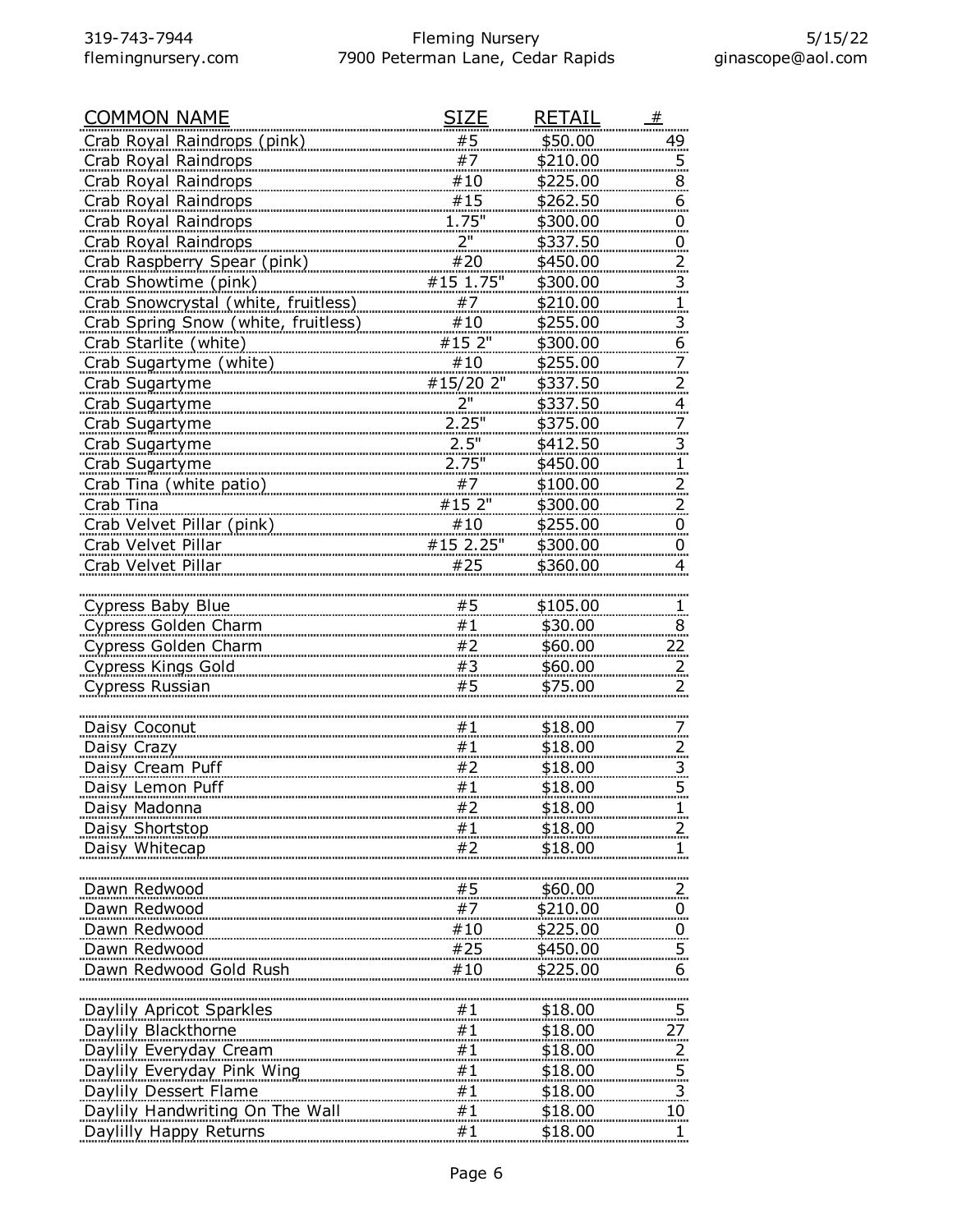| <u>COMMON NAME</u>                                                         | <u>SIZE</u>       | <b>RETAIL</b>             | #                       |
|----------------------------------------------------------------------------|-------------------|---------------------------|-------------------------|
| Crab Royal Raindrops (pink)                                                | #5                | \$50.00                   | 49                      |
| Crab Royal Raindrops                                                       | #7                | \$210.00                  | 5.                      |
| Crab Royal Raindrops                                                       | #10               | \$225.00                  | 8                       |
| Crab Royal Raindrops                                                       | #15               | \$262.50                  | 6                       |
| Crab Royal Raindrops                                                       | <u>1.75"</u>      | \$300.00                  | 0                       |
| Crab Royal Raindrops                                                       | 2"                | \$337.50                  | .<br>$\overline{0}$     |
| Crab Raspberry Spear (pink)                                                | #20               | \$450.00                  | $\overline{2}$          |
| Crab Showtime (pink)                                                       | #15 1.75"         | \$300.00                  |                         |
|                                                                            | #7                | \$210.00                  | 3.                      |
| Crab Snowcrystal (white, fruitless)<br>Crab Spring Snow (white, fruitless) | #10               |                           | 1.                      |
|                                                                            |                   | \$255.00                  | $\overline{3}$<br>6     |
| Crab Starlite (white)                                                      | #15 2"            | \$300.00                  |                         |
| Crab Sugartyme (white)                                                     | #10               | \$255.00                  | <u>7.</u>               |
| Crab Sugartyme                                                             | #15/20 2"         | \$337.50                  | 2.                      |
| Crab Sugartyme                                                             | 2"                | \$337.50                  | 4<br>aine.              |
| Crab Sugartyme                                                             | 2.25"             | \$375.00                  | 7.                      |
| Crab Sugartyme                                                             | 2.5"              | \$412.50                  | $\overline{3}$          |
| Crab Sugartyme                                                             | 2.75"             | \$450.00                  |                         |
| Crab Tina (white patio)                                                    | #7                | \$100.00                  | 2.                      |
| Crab Tina                                                                  | #15 2"            | \$300.00                  | 2.                      |
| Crab Velvet Pillar (pink)                                                  | #10               | \$255.00                  | 0                       |
| Crab Velvet Pillar                                                         | #15 2.25"         | \$300.00                  | $\overline{0}$          |
| Crab Velvet Pillar                                                         | #25               | \$360.00                  | 4                       |
|                                                                            |                   |                           |                         |
| Cypress Baby Blue                                                          | #5                | \$105.00                  |                         |
| Cypress Golden Charm                                                       | #1                | \$30.00                   | 8                       |
| Cypress Golden Charm                                                       | #2                | \$60.00                   | 22.                     |
| <b>Cypress Kings Gold</b>                                                  | #3                | \$60.00                   | 2.                      |
| Cypress Russian                                                            | #5                | \$75.00                   | 2                       |
|                                                                            |                   |                           |                         |
| Daisy Coconut                                                              | #1                | \$18.00                   |                         |
| Daisy Crazy                                                                | #1                | \$18.00                   | 2.                      |
| Daisy Cream Puff                                                           |                   | \$18.00                   |                         |
| Daisy Lemon Puff                                                           | $\frac{\#2}{\#1}$ |                           | 3.                      |
|                                                                            | #2                | <u>\$18.00</u><br>\$18.00 | 5.<br>1.                |
| Daisy Madonna                                                              |                   |                           |                         |
| Daisy Shortstop                                                            | #1                | \$18.00                   |                         |
| Daisy Whitecap                                                             | #2                | \$18.00                   |                         |
|                                                                            |                   |                           |                         |
| Dawn Redwood                                                               | #5                | \$60.00                   | 2.                      |
| Dawn Redwood                                                               | #7                | \$210.00                  | $\overline{0}$          |
| Dawn Redwood                                                               | #10               | \$225.00                  | $\overline{0}$          |
| Dawn Redwood                                                               | #25               | \$450.00                  | 5.                      |
| Dawn Redwood Gold Rush                                                     | #10               | \$225.00                  | 6                       |
|                                                                            |                   |                           |                         |
| Daylily Apricot Sparkles                                                   | #1                | \$18.00                   |                         |
| Daylily Blackthorne                                                        | #1                | \$18.00                   | 27                      |
| Daylily Everyday Cream                                                     | #1                | \$18.00                   | 2.                      |
| Daylily Everyday Pink Wing                                                 | #1                | <u>\$18.00</u>            | 5.                      |
| Daylily Dessert Flame                                                      | #1                | \$18.00                   | $\overline{\mathbf{3}}$ |
| Daylily Handwriting On The Wall                                            | #1                | \$18.00                   | 10 <sub>1</sub>         |
| Daylilly Happy Returns                                                     | #1                | \$18.00                   |                         |
|                                                                            |                   |                           |                         |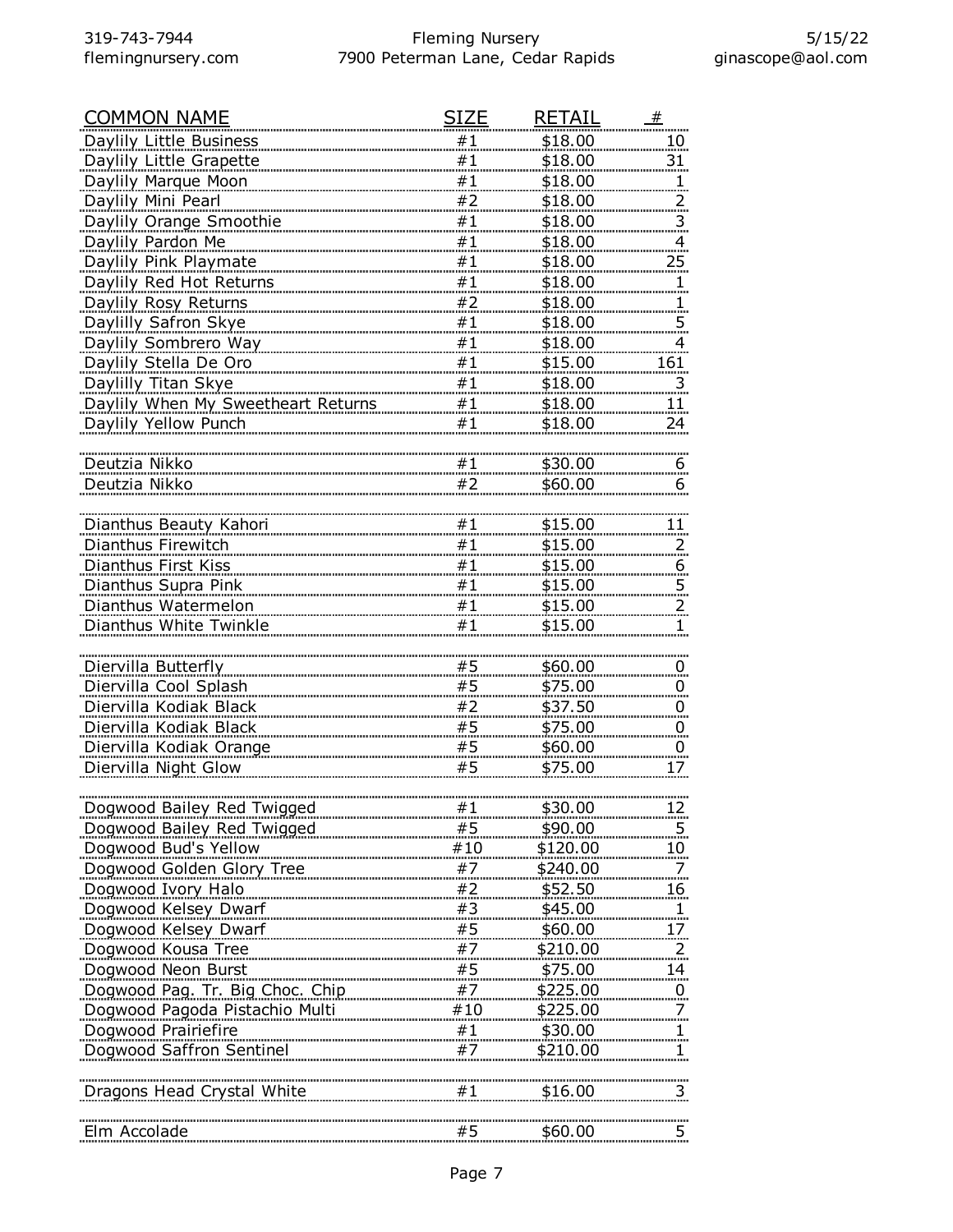| <b>COMMON NAME</b>                 | SIZE       | <b>RETAIL</b>  | #                       |
|------------------------------------|------------|----------------|-------------------------|
| Daylily Little Business            | #1         | \$18.00        | 10                      |
| Daylily Little Grapette            | #1         | \$18.00        | 31                      |
| Daylily Marque Moon                | #1         | \$18.00        |                         |
| Daylily Mini Pearl                 | #2         | \$18.00        | 2.                      |
| Daylily Orange Smoothie            | #1         | \$18.00        | $\overline{\mathbf{3}}$ |
| Daylily Pardon Me                  | #1         | \$18.00        | 4                       |
| Daylily Pink Playmate              | #1         | \$18.00        | $25 \overline{)}$       |
| Daylily Red Hot Returns            | #1         | \$18.00        |                         |
| Daylily Rosy Returns               | #2         | \$18.00        |                         |
| Daylilly Safron Skye               | #1         | \$18.00        | $\overline{5}$          |
| Daylily Sombrero Way               | #1         | \$18.00        | 4                       |
| Daylily Stella De Oro              | #1         | \$15.00        | 161                     |
| Daylilly Titan Skye                | #1         | \$18.00        | $\overline{\mathbf{3}}$ |
| Daylily When My Sweetheart Returns | #1         | \$18.00        | 11                      |
| Daylily Yellow Punch               | #1         | \$18.00        | 24                      |
|                                    |            |                |                         |
| Deutzia Nikko                      | #1         | \$30.00        | 6                       |
| Deutzia Nikko                      | #2         | \$60.00        | 6                       |
|                                    |            |                |                         |
| Dianthus Beauty Kahori             | #1         | \$15.00        | 11                      |
| Dianthus Firewitch                 | #1         | \$15.00        | $\overline{z}$          |
| Dianthus First Kiss                | #1         | \$15.00        | 6                       |
| Dianthus Supra Pink                | #1         | \$15.00        | 5.                      |
| Dianthus Watermelon                | #1         | \$15.00        |                         |
| Dianthus White Twinkle             | #1         | \$15.00        | ı                       |
|                                    |            |                |                         |
| Diervilla Butterfly                | #5         | \$60.00        | $\overline{0}$          |
| Diervilla Cool Splash              | #5         | \$75.00        | 0                       |
| Diervilla Kodiak Black             | #2         | \$37.50        | 0                       |
| Diervilla Kodiak Black             | #5         | \$75.00        | $\overline{0}$          |
| Diervilla Kodiak Orange            | #5         | \$60.00        | 0                       |
| Diervilla Night Glow               | #5         | \$75.00        | 17                      |
|                                    |            |                |                         |
| <u>Dogwood Bailey Red Twigged</u>  | #1         | <u>\$30.00</u> | 12,                     |
| Dogwood Bailey Red Twigged         | #5         | \$90.00        |                         |
| Dogwood Bud's Yellow               | #10        | \$120.00       | 10 <sub>1</sub>         |
| Dogwood Golden Glory Tree          | $\#7$      | \$240.00       | <u>.7.</u>              |
| Dogwood Ivory Halo                 | $#2$<br>#3 | \$52.50        | 16                      |
| Dogwood Kelsey Dwarf               |            | \$45.00        |                         |
| Dogwood Kelsey Dwarf               | #5         | \$60.00        | <u>17.</u>              |
| Dogwood Kousa Tree                 | #7.        | \$210.00       | $\frac{2}{\cdot}$       |
| Dogwood Neon Burst                 | #5         | \$75.00        | 14                      |
| Dogwood Pag. Tr. Big Choc. Chip    | #7         | \$225.00       | $\frac{0}{7}$           |
| Dogwood Pagoda Pistachio Multi     | #10        | \$225.00       |                         |
| Dogwood Prairiefire                | #1         | \$30.00        |                         |
| Dogwood Saffron Sentinel           | #7         | \$210.00       |                         |
|                                    |            |                |                         |
| Dragons Head Crystal White         | #1         | \$16.00        | 3.                      |
|                                    |            |                |                         |
| Elm Accolade                       | #5         | \$60.00        | 5.                      |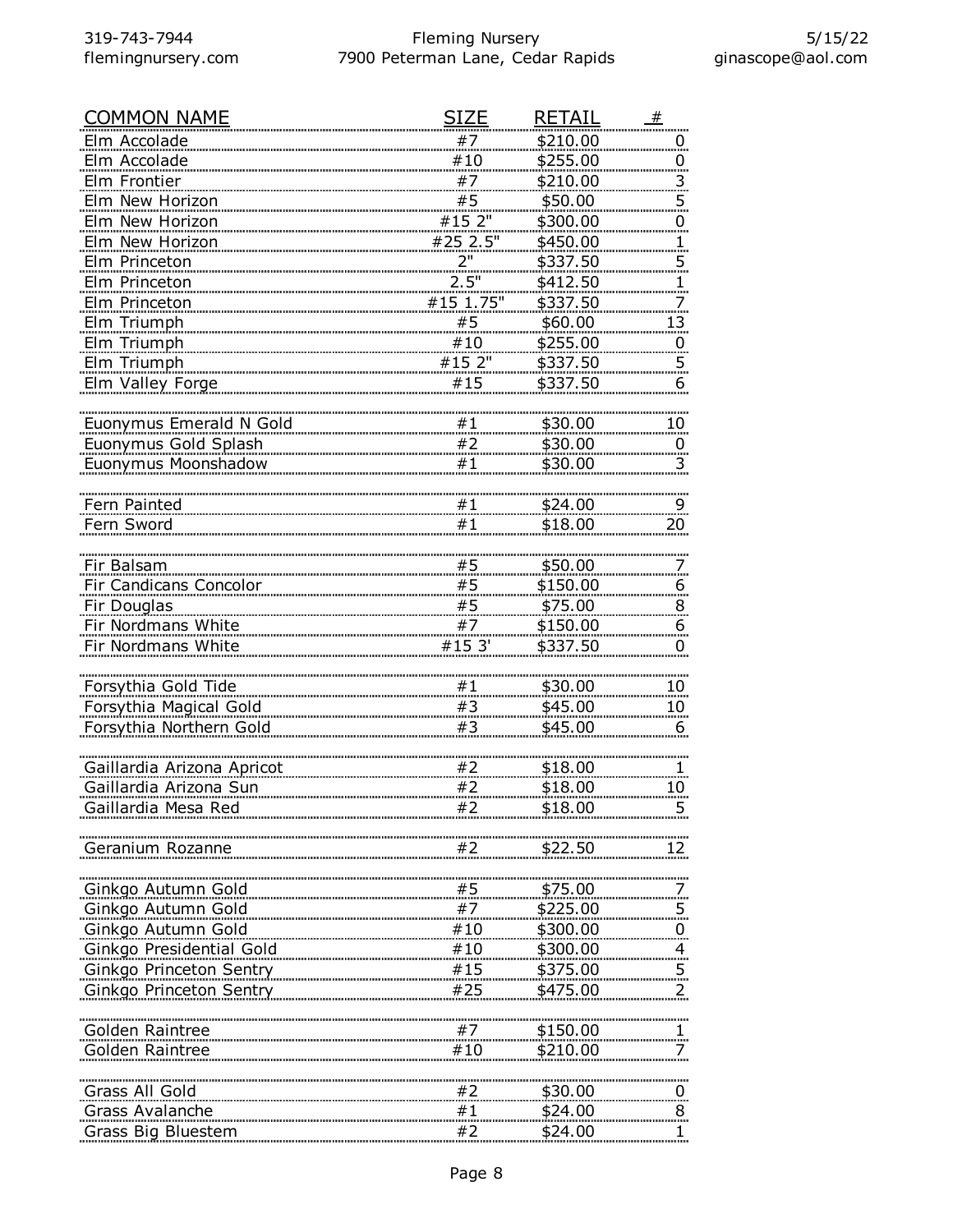| <b>COMMON NAME</b>             | <b>SIZE</b> | <b>RETAIL</b> | #                       |
|--------------------------------|-------------|---------------|-------------------------|
| Elm Accolade                   | #7          | \$210.00      | $\overline{0}$          |
| Elm Accolade                   | #10         | \$255.00      | $\overline{0}$          |
| Elm Frontier                   | #7          | \$210.00      | 3                       |
| Elm New Horizon                | #5          | \$50.00       | $\overline{5}$          |
| Elm New Horizon                | #15 2"      | \$300.00      | $\overline{0}$          |
| Elm New Horizon                | #25 2.5"    | \$450.00      | 1.                      |
| Elm Princeton                  | 2"          | \$337.50      | $\overline{5}$          |
| Elm Princeton                  | 2.5"        | \$412.50      |                         |
| Elm Princeton                  | #15 1.75"   | \$337.50      |                         |
| Elm Triumph                    | #5          | \$60.00       | 13                      |
| Elm Triumph                    | #10         | \$255.00      | $\overline{0}$          |
| Elm Triumph                    | #15 2"      | \$337.50      | $\overline{5}$          |
| Elm Valley Forge               | #15         | \$337.50      | 6                       |
|                                |             |               |                         |
| <b>Euonymus Emerald N Gold</b> | #1          | \$30.00       | $10 \,$                 |
| Euonymus Gold Splash           | #2          | \$30.00       | $\overline{0}$          |
| Euonymus Moonshadow            | #1          | \$30.00       | $\overline{\mathbf{3}}$ |
|                                |             |               |                         |
| Fern Painted                   | #1          | \$24.00       | 9                       |
| Fern Sword                     | #1          | \$18.00       | 20                      |
|                                |             |               |                         |
| Fir Balsam                     | #5          | \$50.00       |                         |
| Fir Candicans Concolor         | #5          | \$150.00      | 6                       |
| Fir Douglas                    | #5          | \$75.00       | 8                       |
| Fir Nordmans White             | #7          | \$150.00      | 6                       |
| Fir Nordmans White             | #15 3'      | \$337.50      | $\overline{0}$          |
|                                |             |               |                         |
| Forsythia Gold Tide            | #1          | \$30.00       | 10                      |
| Forsythia Magical Gold         | #3          | \$45.00       | 10 <sub>2</sub>         |
| Forsythia Northern Gold        | #3          | \$45.00       | 6                       |
|                                |             |               |                         |
| Gaillardia Arizona Apricot     | #2          | \$18.00       |                         |
| Gaillardia Arizona Sun         | #2          | \$18.00       | 10                      |
| Gaillardia Mesa Red            | #2          | \$18.00       |                         |
|                                |             |               |                         |
| Geranium Rozanne               | #2          | \$22.50       |                         |
|                                |             |               |                         |
| Ginkgo Autumn Gold             | #5          | \$75.00       |                         |
| Ginkgo Autumn Gold             | #7          | \$225.00      |                         |
| Ginkgo Autumn Gold             | #10         | \$300.00      | $\overline{0}$          |
| Ginkgo Presidential Gold       | #10         | \$300.00      | $\overline{4}$          |
| <br>Ginkgo Princeton Sentry    | #15         | \$375.00      |                         |
| Ginkgo Princeton Sentry        | #25         | \$475.00      | 2                       |
|                                |             |               |                         |
| Golden Raintree                | #7          | \$150.00      |                         |
| Golden Raintree                | #10         | \$210.00      |                         |
|                                |             |               |                         |
| Grass All Gold                 | #2          | \$30.00       | $\overline{0}$          |
| Grass Avalanche                | #1          | \$24.00       | 8                       |
| Grass Big Bluestem             | #2          | \$24.00       |                         |
|                                |             |               |                         |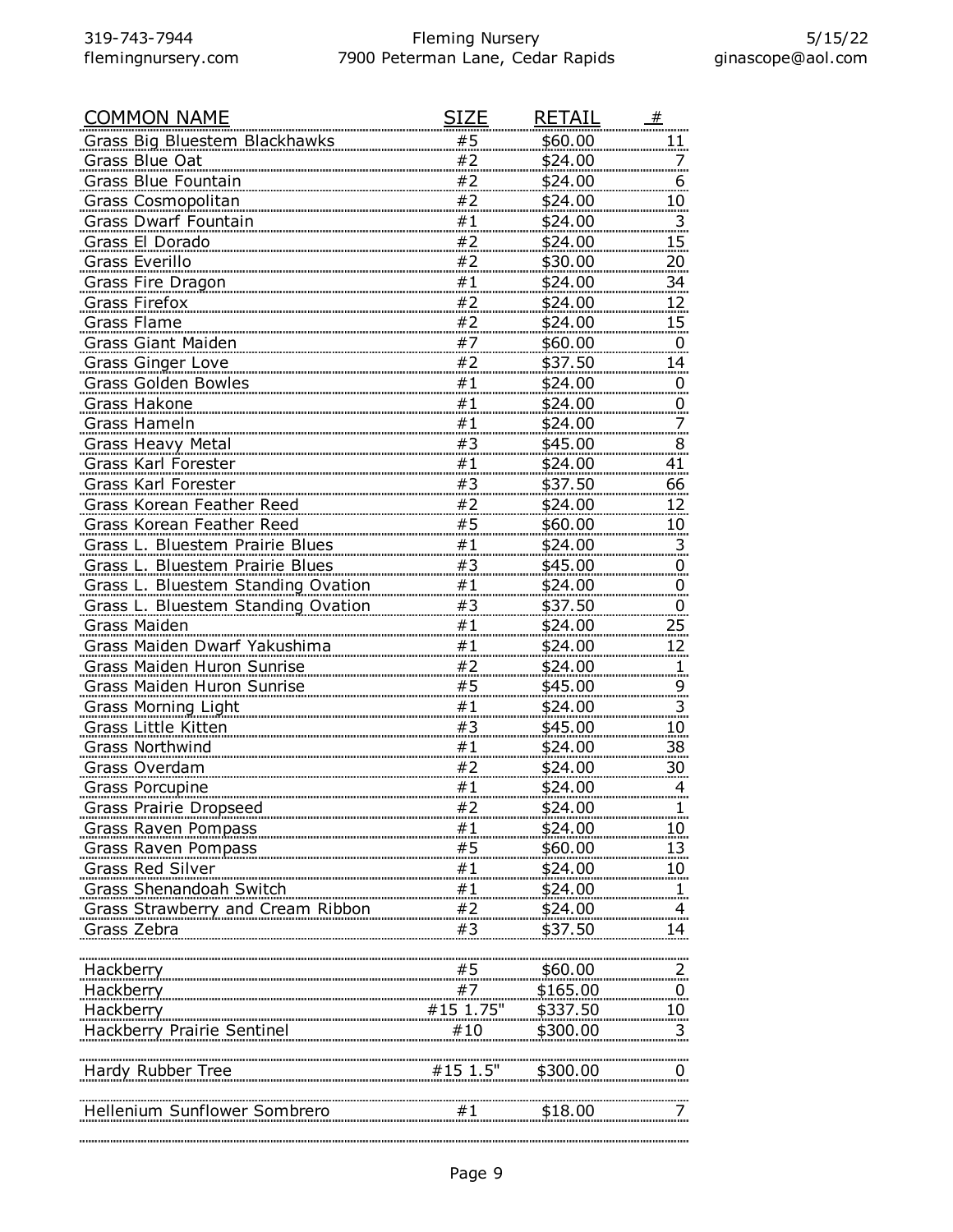| <b>COMMON NAME</b>                 | SIZE                                        | <b>RETAIL</b>  | #                       |
|------------------------------------|---------------------------------------------|----------------|-------------------------|
| Grass Big Bluestem Blackhawks      | #5                                          | \$60.00        | 11                      |
| Grass Blue Oat                     | #2                                          | \$24.00        |                         |
| Grass Blue Fountain                | #2                                          | \$24.00        | 6                       |
| Grass Cosmopolitan                 | #2                                          | \$24.00        | 10                      |
| Grass Dwarf Fountain               | #1                                          | \$24.00        | $\overline{3}$          |
| Grass El Dorado                    | #2                                          | \$24.00        | 15                      |
| Grass Everillo                     | #2                                          | \$30.00        | <u>20</u>               |
| <b>Grass Fire Dragon</b>           | $\begin{array}{c} \n#1 \\ \#2\n\end{array}$ | \$24.00        | $\overline{34}$         |
| <b>Grass Firefox</b>               |                                             | \$24.00        | 12                      |
| Grass Flame                        | #2                                          | \$24.00        | $15 \overline{)}$       |
| Grass Giant Maiden                 | #7                                          | \$60.00        | 0                       |
| <b>Grass Ginger Love</b>           | #2                                          | \$37.50        | 14                      |
| Grass Golden Bowles                | #1                                          | \$24.00        | $\mathbf{0}$            |
| Grass Hakone                       | #1                                          | \$24.00        | 0                       |
| Grass Hameln                       | #1                                          | \$24.00        |                         |
| <b>Grass Heavy Metal</b>           | #3                                          | \$45.00        | 8                       |
| Grass Karl Forester                | #1                                          | \$24.00        | 41                      |
| Grass Karl Forester                | #3                                          | \$37.50        | 66                      |
| Grass Korean Feather Reed          | #2                                          | \$24.00        | <u>12.</u>              |
| <b>Grass Korean Feather Reed</b>   | #5                                          | \$60.00        | <u>10</u>               |
| Grass L. Bluestem Prairie Blues    | #1                                          | \$24.00        | 3                       |
| Grass L. Bluestem Prairie Blues    | #3                                          | \$45.00        | 0                       |
| Grass L. Bluestem Standing Ovation | #1                                          | \$24.00        | 0                       |
| Grass L. Bluestem Standing Ovation | #3                                          | \$37.50        | 0                       |
| Grass Maiden                       | #1                                          | \$24.00        | 25                      |
| Grass Maiden Dwarf Yakushima       | #1                                          | \$24.00        | 12                      |
| Grass Maiden Huron Sunrise         | #2                                          | \$24.00        |                         |
| Grass Maiden Huron Sunrise         | #5                                          | \$45.00        | 9                       |
| Grass Morning Light                | #1                                          | \$24.00        | $\overline{\mathbf{3}}$ |
| <b>Grass Little Kitten</b>         | #3                                          | \$45.00        | 10                      |
| <b>Grass Northwind</b>             | #1                                          | \$24.00        | <u>38</u>               |
| Grass Overdam                      | #2                                          | \$24.00        | 30                      |
| Grass Porcupine                    | #1                                          | <u>\$24.00</u> | 4                       |
| <u>Grass Prairie Dropseed</u>      | #2                                          | \$24.00        |                         |
| Grass Raven Pompass                | #1                                          | \$24.00        | <u>10 </u>              |
| Grass Raven Pompass                | #5                                          | \$60.00        | 13                      |
| <b>Grass Red Silver</b>            | $#1$<br>$#1$<br>$#2$                        | \$24.00        | 10 <sub>1</sub>         |
| Grass Shenandoah Switch            |                                             | \$24.00        |                         |
| Grass Strawberry and Cream Ribbon  |                                             | \$24.00        |                         |
| Grass Zebra                        | #3                                          | \$37.50        | 14                      |
|                                    |                                             |                |                         |
| Hackberry                          | #5                                          | \$60.00        |                         |
| Hackberry                          | #7                                          | \$165.00       | $\overline{0}$          |
| Hackberry                          | $#15$ 1.75"                                 | \$337.50       | <u>10 </u>              |
|                                    | #10                                         | \$300.00       |                         |
|                                    |                                             |                |                         |
| Hardy Rubber Tree                  | $#15$ 1.5"                                  | \$300.00       | $\overline{0}$          |
|                                    |                                             |                |                         |
| Hellenium Sunflower Sombrero       | #1                                          | \$18.00        |                         |
|                                    |                                             |                |                         |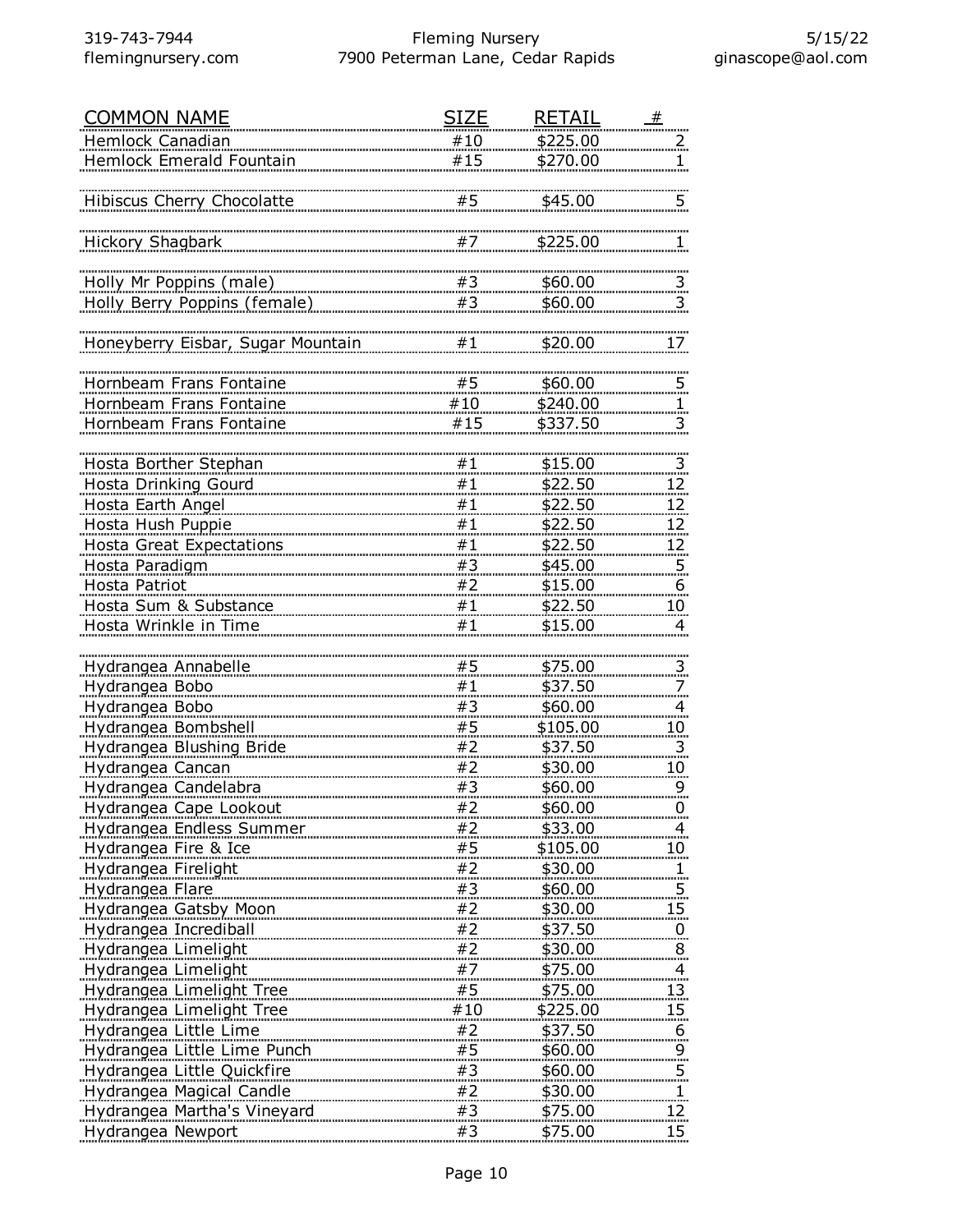| <b>COMMON NAME</b>                | SIZE | <b>RETAIL</b>  | #                        |
|-----------------------------------|------|----------------|--------------------------|
| Hemlock Canadian                  | #10  | \$225.00       | 2                        |
| Hemlock Emerald Fountain          | #15  | \$270.00       |                          |
|                                   |      |                |                          |
| Hibiscus Cherry Chocolatte        | #5   | \$45.00        | 5                        |
|                                   |      |                |                          |
| Hickory Shagbark                  | #7   | \$225.00       | 1                        |
|                                   |      |                |                          |
| Holly Mr Poppins (male)           | #3   | \$60.00        | $\overline{\mathbf{3}}$  |
| Holly Berry Poppins (female)      | #3   | \$60.00        | 3                        |
|                                   |      |                |                          |
| Honeyberry Eisbar, Sugar Mountain | #1   | \$20.00        | 17                       |
|                                   |      |                |                          |
| Hornbeam Frans Fontaine           | #5   | \$60.00        |                          |
| Hornbeam Frans Fontaine           | #10  | \$240.00       | 5                        |
|                                   | #15  |                |                          |
| Hornbeam Frans Fontaine           |      | \$337.50       | 3                        |
|                                   |      |                |                          |
| Hosta Borther Stephan             | #1   | \$15.00        | $\frac{3}{2}$            |
| Hosta Drinking Gourd              | #1   | \$22.50        | 12                       |
| Hosta Earth Angel                 | #1   | \$22.50        | 12                       |
| Hosta Hush Puppie                 | #1   | \$22.50        | <u>12.</u>               |
| <b>Hosta Great Expectations</b>   | #1   | \$22.50        | <u>12</u>                |
| Hosta Paradigm                    | #3   | \$45.00        | 5                        |
| Hosta Patriot                     | #2   | \$15.00        | $6 \overline{6}$         |
| Hosta Sum & Substance             | #1   | \$22.50        | 10                       |
| Hosta Wrinkle in Time             | #1   | \$15.00        | 4                        |
|                                   |      |                |                          |
| Hydrangea Annabelle               | #5   | \$75.00        | $\overline{\mathbf{3}}$  |
| Hydrangea Bobo                    | #1   | \$37.50        | 7                        |
| Hydrangea Bobo                    | #3   | \$60.00        | $\overline{4}$           |
| Hydrangea Bombshell               | #5   | \$105.00       | <u>10</u>                |
| Hydrangea Blushing Bride          | #2   | \$37.50        | 3                        |
| Hydrangea Cancan                  | #2   | \$30.00        | $10 \,$                  |
| Hydrangea Candelabra              | #3   | \$60.00        | 9                        |
| Hydrangea Cape Lookout            | #2   | \$60.00        | 0                        |
| Hydrangea Endless Summer          | #2   | \$33.00        | $\overline{A}$           |
| Hydrangea Fire & Ice              | #5   | \$105.00       | 10                       |
| Hydrangea Firelight               | #2   | \$30.00        | $\overline{1}$           |
| Hydrangea Flare                   | #3   | \$60.00        | 5                        |
| <b>Hydrangea Gatsby Moon</b>      | #2   | \$30.00        |                          |
|                                   | #2   | \$37.50        | 15                       |
| Hydrangea Incrediball             |      |                | $\overline{0}$           |
| Hydrangea Limelight               | #2   | <u>\$30.00</u> | $\bf{8}$                 |
| Hydrangea Limelight               | #7   | \$75.00        | $\overline{\mathcal{A}}$ |
| Hydrangea Limelight Tree          | #5   | \$75.00        | 13                       |
| Hydrangea Limelight Tree          | #10  | \$225.00       | 15                       |
| Hydrangea Little Lime             | #2   | \$37.50        | $\overline{6}$           |
| Hydrangea Little Lime Punch       | #5   | \$60.00        | $\frac{9}{5}$            |
| Hydrangea Little Quickfire        | #3   | \$60.00        |                          |
| <b>Hydrangea Magical Candle</b>   | #2   | \$30.00        | 1                        |
| Hydrangea Martha's Vineyard       | #3   | \$75.00        | 12                       |
| Hydrangea Newport                 | #3   | \$75.00        | $15\phantom{.0}$         |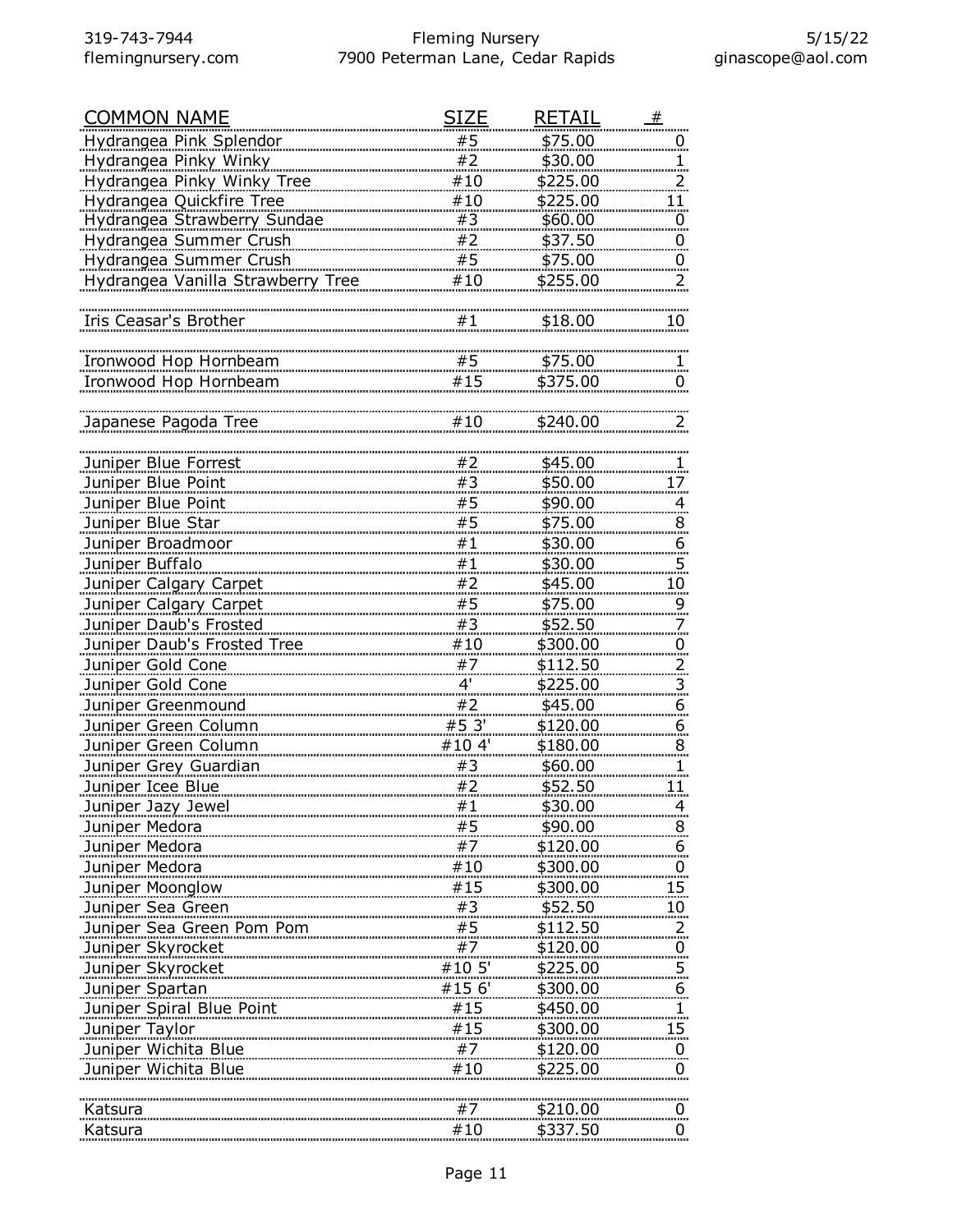| <b>COMMON NAME</b>                | <b>SIZE</b> | <b>RETAIL</b>   | #                       |
|-----------------------------------|-------------|-----------------|-------------------------|
| Hydrangea Pink Splendor           | #5          | \$75.00         | $\overline{0}$          |
| Hydrangea Pinky Winky             | #2          | \$30.00         |                         |
| Hydrangea Pinky Winky Tree        | #10         | \$225.00        |                         |
| Hydrangea Quickfire Tree          | #10         | \$225.00        | 11                      |
| Hydrangea Strawberry Sundae       | #3          | \$60.00         | $\overline{0}$          |
| Hydrangea Summer Crush            | #2          | \$37.50         | $\overline{0}$          |
| Hydrangea Summer Crush            | #5          | \$75.00         | $\overline{0}$          |
| Hydrangea Vanilla Strawberry Tree | #10         | \$255.00        | 2                       |
|                                   |             |                 |                         |
| Iris Ceasar's Brother             | #1          | \$18.00         | 10                      |
|                                   |             |                 |                         |
| Ironwood Hop Hornbeam             | #5          | \$75.00         |                         |
| Ironwood Hop Hornbeam             | #15         | \$375.00        | $\overline{0}$          |
|                                   |             |                 |                         |
| Japanese Pagoda Tree              | #10         | \$240.00        |                         |
|                                   |             |                 |                         |
| Juniper Blue Forrest              | #2          | \$45.00         | ı                       |
| Juniper Blue Point                | #3          | \$50.00         | 17                      |
| Juniper Blue Point                | #5          | \$90.00         | $\overline{4}$          |
| Juniper Blue Star                 | #5          | \$75.00         | 8                       |
| Juniper Broadmoor                 | #1          | \$30.00         | $\overline{6}$          |
| Juniper Buffalo                   | #1          | \$30.00         | 5                       |
| Juniper Calgary Carpet            | #2          | \$45.00         |                         |
| Juniper Calgary Carpet            | #5          | \$75.00         | 10                      |
| Juniper Daub's Frosted            | #3          | \$52.50         | 9                       |
|                                   | #10         |                 | 7                       |
| Juniper Daub's Frosted Tree       | #7          | \$300.00        | $\overline{0}$          |
| Juniper Gold Cone                 |             | \$112.50        | $\overline{2}$          |
| Juniper Gold Cone                 | 4'          | \$225.00        | $\overline{\mathbf{3}}$ |
| Juniper Greenmound                | #2          | \$45.00         | <u><sub>6</sub></u>     |
| Juniper Green Column              | #5 3'       | \$120.00        | $6 \overline{)}$        |
| Juniper Green Column              | #10 4'      | \$180.00        | 8 <sub>1</sub>          |
| Juniper Grey Guardian             | #3          | \$60.00         | 1                       |
| Juniper Icee Blue                 | #2          | \$52.50         | 11                      |
| Juniper Jazy Jewel                | # 1         | <u>\$30.00</u>  |                         |
| Juniper Medora                    | #5          | \$90.00         | 8                       |
| Juniper Medora                    | #7          | \$120.00        | 6                       |
| Juniper Medora                    | #10         | \$300.00        | $\overline{0}$          |
| Juniper Moonglow                  | #15         | \$300.00        | 15                      |
| Juniper Sea Green                 | #3          | \$52.50         | <u> 10 </u>             |
| Juniper Sea Green Pom Pom         | #5          | <u>\$112.50</u> | 2.                      |
| Juniper Skyrocket                 | #7          | \$120.00        | $\overline{0}$          |
| Juniper Skyrocket                 | #10 5'      | \$225.00        | 5                       |
| Juniper Spartan                   | #15 6'      | \$300.00        | <u><sub>6</sub></u>     |
| Juniper Spiral Blue Point         | #15         | \$450.00        | $\overline{1}$          |
| Juniper Taylor                    | #15         | \$300.00        | 15 <sub>1</sub>         |
| Juniper Wichita Blue              | #7          | \$120.00        | $\overline{0}$          |
| Juniper Wichita Blue              | #10         | \$225.00        | 0                       |
|                                   |             |                 |                         |
| Katsura                           | #7          | \$210.00        | $\overline{0}$ .        |
| Katsura                           | #10         | \$337.50        | 0                       |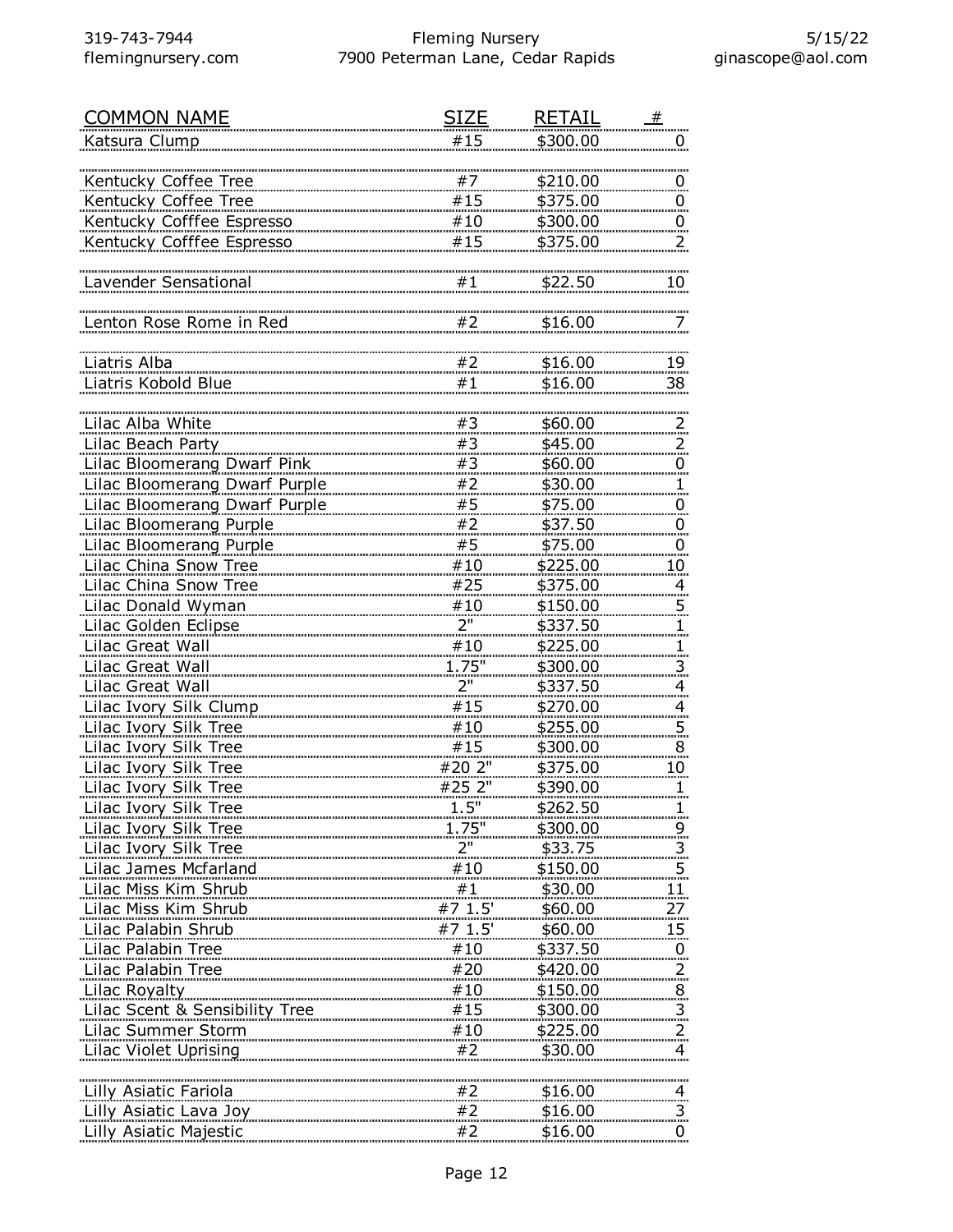| <b>COMMON NAME</b>                   | SIZE            | <b>RETAIL</b> | _#                                        |
|--------------------------------------|-----------------|---------------|-------------------------------------------|
| Katsura Clump                        | #15             | \$300.00      | Ü                                         |
|                                      |                 |               |                                           |
| Kentucky Coffee Tree                 | #7              | \$210.00      | $\overline{0}$                            |
| <b>Kentucky Coffee Tree</b>          | #15             | \$375.00      | $\overline{0}$                            |
| Kentucky Cofffee Espresso            | #10             | \$300.00      | $\overline{0}$                            |
| Kentucky Cofffee Espresso            | #15             | \$375.00      | $\overline{z}$                            |
|                                      |                 |               |                                           |
| Lavender Sensational                 | #1              | \$22.50       | 10                                        |
|                                      |                 |               |                                           |
| Lenton Rose Rome in Red              | #2              | \$16.00       | 7                                         |
|                                      |                 |               |                                           |
| Liatris Alba                         | #2              | \$16.00       | 19                                        |
| Liatris Kobold Blue                  | #1              | \$16.00       | 38                                        |
|                                      |                 |               |                                           |
| Lilac Alba White                     | #3              | \$60.00       | $\overline{z}$                            |
| Lilac Beach Party                    | #3              | \$45.00       | $\overline{z}$                            |
| <b>Lilac Bloomerang Dwarf Pink</b>   | #3              | \$60.00       | $\overline{0}$                            |
| <b>Lilac Bloomerang Dwarf Purple</b> | #2              | \$30.00       | $\mathbf{1}$                              |
| Lilac Bloomerang Dwarf Purple        | #5              | \$75.00       | $\overline{0}$                            |
| Lilac Bloomerang Purple              | #2              | \$37.50       | $\overline{0}$                            |
| Lilac Bloomerang Purple              | #5              | \$75.00       | $\overline{0}$                            |
| <b>Lilac China Snow Tree</b>         | #10             | \$225.00      | 10                                        |
| Lilac China Snow Tree                | #25             | \$375.00      | $\overline{4}$                            |
| Lilac Donald Wyman                   | #10             | \$150.00      | $\overline{5}$                            |
| Lilac Golden Eclipse                 | 2"              | \$337.50      | 1.                                        |
| Lilac Great Wall                     | #10             | \$225.00      | <u>1</u>                                  |
| Lilac Great Wall                     | 1.75"           | \$300.00      |                                           |
| Lilac Great Wall                     | 2 <sup>11</sup> | \$337.50      | $\overline{\mathbf{3}}$<br>$\overline{4}$ |
| <b>Lilac Ivory Silk Clump</b>        | #15             | \$270.00      |                                           |
| <b>Lilac Ivory Silk Tree</b>         | #10             | \$255.00      | $\overline{4}$                            |
| Lilac Ivory Silk Tree                | #15             | \$300.00      | $\overline{5}$                            |
| Lilac Ivory Silk Tree                | #20 2"          | \$375.00      | 8                                         |
|                                      | #25 2"          |               | $10\,$                                    |
| Lilac Ivory Silk Tree                |                 | \$390.00      | 1                                         |
| Lilac Ivory Silk Tree                | 1.5"            | \$262.50      |                                           |
| <b>Lilac Ivory Silk Tree</b>         | 1.75"           | \$300.00      |                                           |
| Lilac Ivory Silk Tree                |                 | \$33.75       | $\frac{3}{2}$                             |
| Lilac James Mcfarland                | #10             | \$150.00      | $\overline{5}$                            |
| Lilac Miss Kim Shrub                 | #1              | \$30.00       | 11                                        |
| Lilac Miss Kim Shrub                 | $#7$ 1.5'       | \$60.00       | 27                                        |
| Lilac Palabin Shrub                  | $#7$ 1.5'       | \$60.00       | <u>15 </u>                                |
| Lilac Palabin Tree                   | #10             | \$337.50      | $\overline{0}$ .                          |
| Lilac Palabin Tree                   | #20             | \$420.00      | <u>.2.</u>                                |
| Lilac Royalty                        |                 | \$150.00      | $\begin{array}{c} 8 \\ 3 \end{array}$     |
| Lilac Scent & Sensibility Tree       |                 | \$300.00      |                                           |
| Lilac Summer Storm                   |                 | \$225.00      | $^{2}$                                    |
| Lilac Violet Uprising                | #2              | \$30.00       | 4                                         |
|                                      |                 |               |                                           |
| Lilly Asiatic Fariola                |                 | \$16.00       | <u>.4.</u>                                |
| Lilly Asiatic Lava Joy               | #2              | \$16.00       | <u>3.</u>                                 |
| Lilly Asiatic Majestic               | #2              | \$16.00       | 0                                         |
|                                      |                 |               |                                           |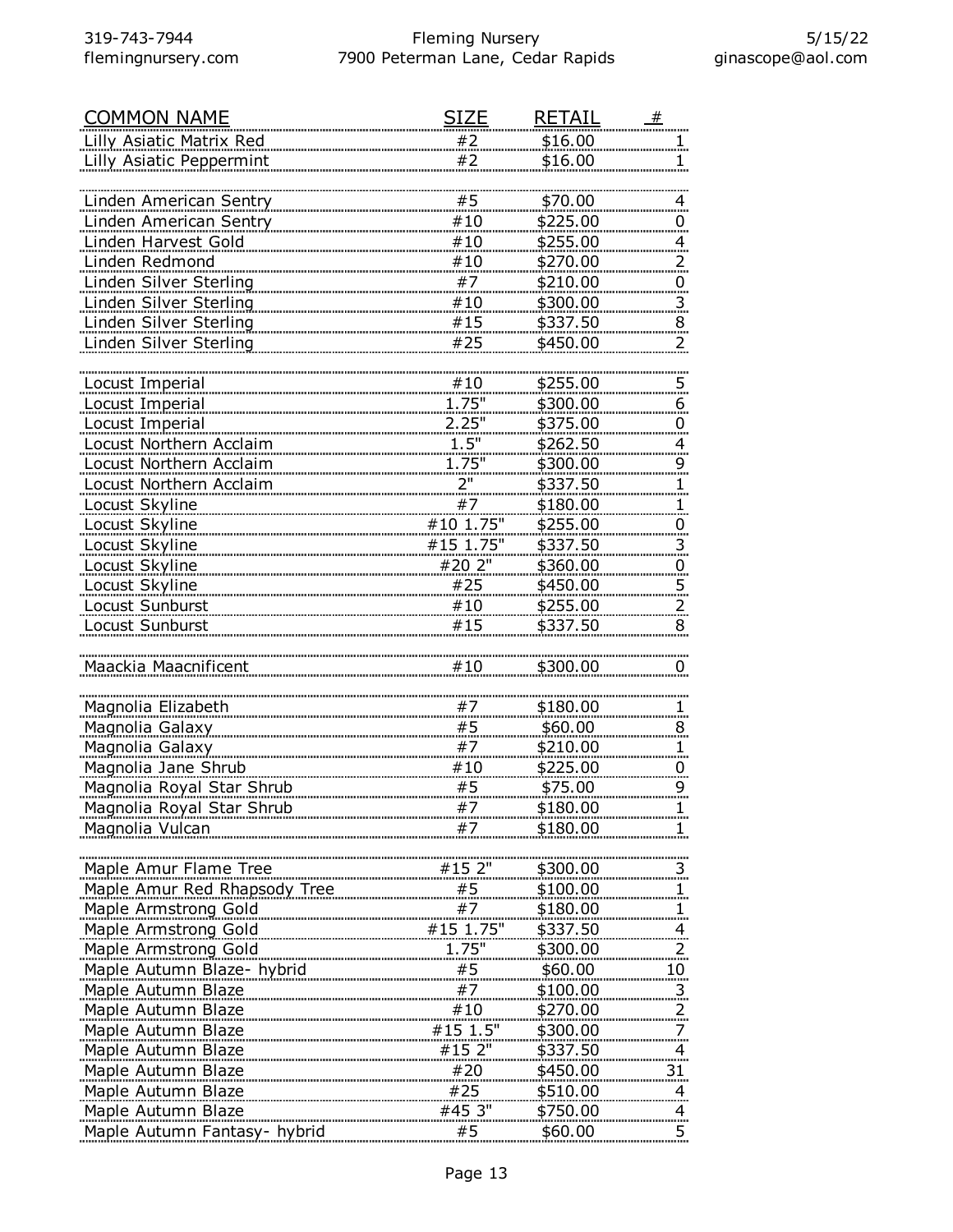| <b>COMMON NAME</b>            | SIZE                                                                                                      | <u>RETAIL</u>   | #                        |
|-------------------------------|-----------------------------------------------------------------------------------------------------------|-----------------|--------------------------|
| Lilly Asiatic Matrix Red      | #2                                                                                                        | \$16.00         |                          |
| Lilly Asiatic Peppermint      | #2                                                                                                        | \$16.00         |                          |
|                               |                                                                                                           |                 |                          |
| Linden American Sentry        | #5                                                                                                        | \$70.00         | 4                        |
| Linden American Sentry        | #10                                                                                                       | \$225.00        | 0                        |
| Linden Harvest Gold           | #10                                                                                                       | \$255.00        | 4                        |
| Linden Redmond                | #10                                                                                                       | \$270.00        | $\overline{2}$           |
| Linden Silver Sterling        | #7                                                                                                        | \$210.00        | $\overline{0}$           |
| <b>Linden Silver Sterling</b> | #10                                                                                                       | \$300.00        | 3                        |
| Linden Silver Sterling        | #15                                                                                                       | \$337.50        | 8                        |
| Linden Silver Sterling        | #25                                                                                                       | \$450.00        | 2                        |
|                               |                                                                                                           |                 |                          |
| Locust Imperial               | #10                                                                                                       | \$255.00        | $\overline{5}$           |
| Locust Imperial               | 1.75"                                                                                                     | \$300.00        | 6                        |
| Locust Imperial               | 2.25"                                                                                                     | \$375.00        | $\overline{0}$           |
| Locust Northern Acclaim       | 1.5"                                                                                                      | \$262.50        | $\overline{4}$           |
| Locust Northern Acclaim       | <u>1.75"</u>                                                                                              | \$300.00        | 9                        |
| Locust Northern Acclaim       | 2"                                                                                                        | \$337.50        | $\mathbf{1}$             |
| Locust Skyline                | #7                                                                                                        | \$180.00        | 1                        |
| Locust Skyline                | #10 1.75"                                                                                                 | \$255.00        | $\overline{0}$           |
| Locust Skyline                | #15 1.75"                                                                                                 | \$337.50        | 3                        |
| Locust Skyline                | #20 2"                                                                                                    | \$360.00        | $\overline{0}$           |
| Locust Skyline                | #25                                                                                                       | \$450.00        | $\overline{5}$           |
| Locust Sunburst               | #10                                                                                                       | \$255.00        | $\overline{2}$           |
| Locust Sunburst               | #15                                                                                                       | \$337.50        | 8                        |
|                               |                                                                                                           |                 |                          |
| Maackia Maacnificent          | #10                                                                                                       | \$300.00        | 0                        |
|                               |                                                                                                           |                 |                          |
| Magnolia Elizabeth            | #7                                                                                                        | \$180.00        | ı                        |
| Magnolia Galaxy               | #5                                                                                                        | \$60.00         | 品.<br>8                  |
| Magnolia Galaxy               | #7                                                                                                        | \$210.00        | 1                        |
| Magnolia Jane Shrub           | #10                                                                                                       | \$225.00        | $\overline{0}$           |
| Magnolia Royal Star Shrub     | #5                                                                                                        | \$75.00         | 9                        |
| Magnolia Royal Star Shrub     | #7                                                                                                        | \$180.00        |                          |
| Magnolia Vulcan               | #7                                                                                                        | \$180.00        |                          |
|                               |                                                                                                           |                 |                          |
| Maple Amur Flame Tree         | #15 2"                                                                                                    | \$300.00        | 3                        |
| Maple Amur Red Rhapsody Tree  |                                                                                                           | \$100.00        |                          |
| Maple Armstrong Gold          |                                                                                                           | \$180.00        | $\mathbf{1}$             |
| <b>Maple Armstrong Gold</b>   | $\begin{array}{r} 45 \\ +7 \\ \hline 47 \\ \hline 415 \\ 1.75 \end{array}$                                | \$337.50        | $\overline{4}$           |
| Maple Armstrong Gold          | <u>1.75"</u>                                                                                              | \$300.00        | $\overline{2}$           |
| Maple Autumn Blaze- hybrid    | #5                                                                                                        | \$60.00         | $10 \,$                  |
| Maple Autumn Blaze            | $\#7$                                                                                                     | \$100.00        | $\overline{3}$           |
| Maple Autumn Blaze            |                                                                                                           | \$270.00        | $\overline{2}$           |
| Maple Autumn Blaze            | $\begin{array}{c}\n \overline{10} \\  \overline{10} \\  \overline{15} \\  \overline{1.5} \\  \end{array}$ | <u>\$300.00</u> | 7                        |
| Maple Autumn Blaze            | #15 2"                                                                                                    | \$337.50        | $\overline{\mathcal{A}}$ |
| Maple Autumn Blaze            | #20                                                                                                       | \$450.00        | 31                       |
| Maple Autumn Blaze            | #25                                                                                                       | \$510.00        | $\overline{4}$           |
| Maple Autumn Blaze            | #45 3"                                                                                                    | \$750.00        |                          |
| Maple Autumn Fantasy- hybrid  | #5                                                                                                        | \$60.00         | $\frac{4}{5}$            |
|                               |                                                                                                           |                 |                          |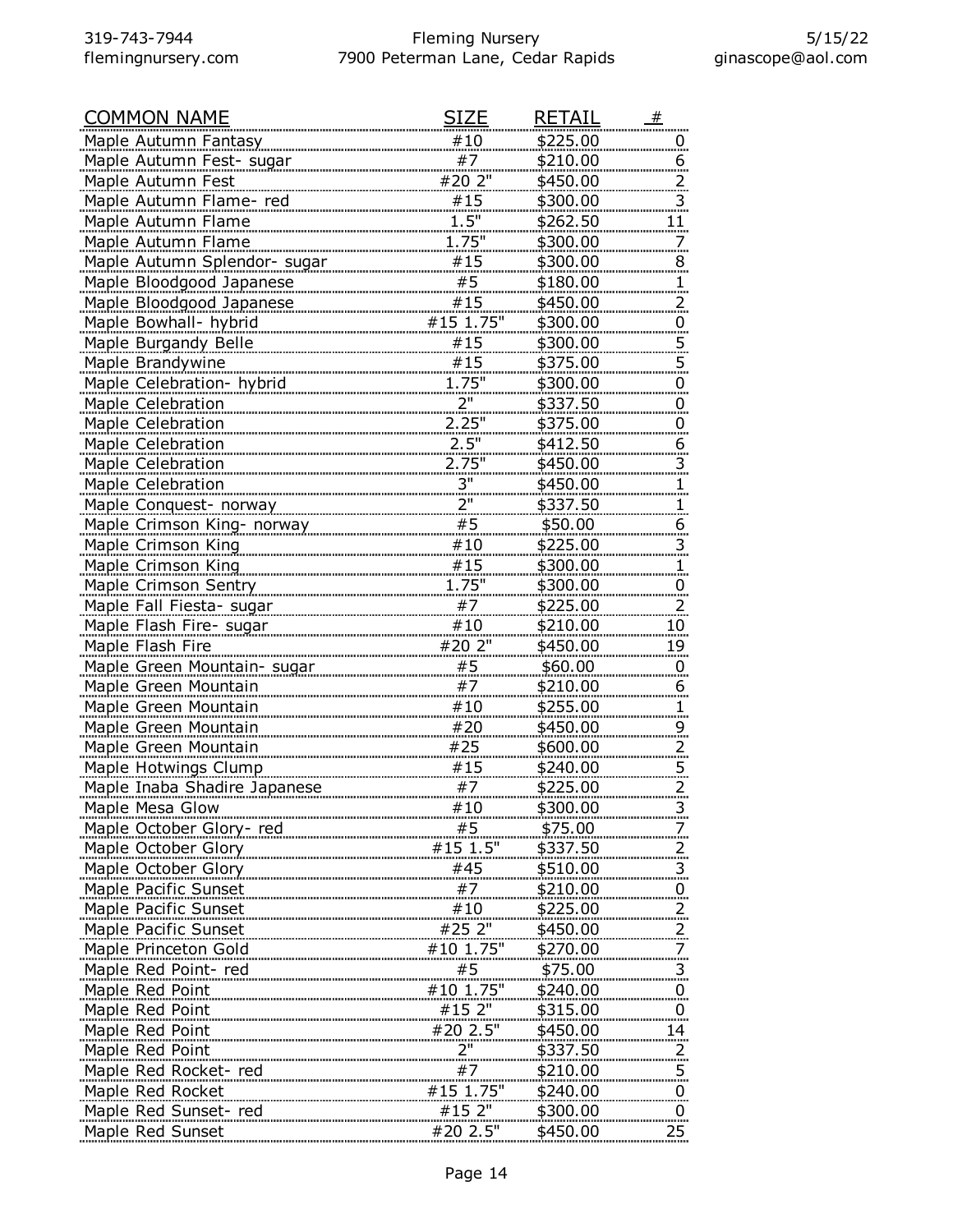| <b>COMMON NAME</b>           | <b>SIZE</b>         | RETAIL          | #                       |
|------------------------------|---------------------|-----------------|-------------------------|
| Maple Autumn Fantasy         | #10                 | \$225.00        |                         |
| Maple Autumn Fest- sugar     | #7                  | \$210.00        | 6                       |
| Maple Autumn Fest            | #20 2"              | \$450.00        | $\overline{\mathbf{c}}$ |
| Maple Autumn Flame-red       | #15                 | \$300.00        | $\overline{3}$          |
| Maple Autumn Flame           | 1.5"                | \$262.50        | 11                      |
| Maple Autumn Flame           | 1.75"               | \$300.00        |                         |
| Maple Autumn Splendor- sugar | #15                 | \$300.00        | 8                       |
| Maple Bloodgood Japanese     | #5                  | \$180.00        | 1                       |
| Maple Bloodgood Japanese     | #15                 | \$450.00        | $\overline{z}$          |
| Maple Bowhall- hybrid        | #15 1.75"           | \$300.00        | $\overline{0}$          |
| <b>Maple Burgandy Belle</b>  | #15                 | \$300.00        | 5                       |
| Maple Brandywine             | #15                 | \$375.00        | $\overline{5}$          |
| Maple Celebration- hybrid    | 1.75"               | \$300.00        | $\overline{0}$          |
| <b>Maple Celebration</b>     | 2"                  | \$337.50        | 0                       |
| Maple Celebration            | $2.25$ "            | \$375.00        | $\overline{0}$          |
| Maple Celebration            | 2.5"                | \$412.50        | <u>6</u>                |
| Maple Celebration            | 2.75"               | \$450.00        |                         |
| Maple Celebration            | 3"                  | \$450.00        | 3.                      |
| Maple Conquest- norway       | 2"                  | \$337.50        |                         |
|                              | #5                  | \$50.00         | 6                       |
| Maple Crimson King- norway   | #10                 |                 |                         |
| Maple Crimson King           |                     | \$225.00        | 3                       |
| Maple Crimson King           | #15                 | \$300.00        | 1                       |
| Maple Crimson Sentry         | $1.75$ "            | \$300.00        | Ü                       |
| Maple Fall Fiesta- sugar     | #7                  | \$225.00        | 2                       |
| Maple Flash Fire- sugar      | #10                 | \$210.00        | 10                      |
| Maple Flash Fire             | #20 2"              | \$450.00        | <u>19 </u>              |
| Maple Green Mountain- sugar  | #5                  | \$60.00         | $\overline{0}$          |
| Maple Green Mountain         | #7                  | \$210.00        | 6                       |
| Maple Green Mountain         | #10                 | \$255.00        |                         |
| Maple Green Mountain         | #20                 | \$450.00        | 9                       |
| Maple Green Mountain         | #25                 | \$600.00        | $\overline{2}$          |
| <b>Maple Hotwings Clump</b>  | $\frac{115}{7}$     | \$240.00        | 5.                      |
| Maple Inaba Shadire Japanese |                     | \$225.00        |                         |
| Maple Mesa Glow              | #10                 | \$300.00        |                         |
| Maple October Glory-red      | #5                  | <u>\$75.00</u>  |                         |
| Maple October Glory          | #15 1.5"            | \$337.50        |                         |
| Maple October Glory          | #45                 | \$510.00        | 3                       |
| Maple Pacific Sunset         | $#7$<br>#10         | \$210.00        | 0                       |
| Maple Pacific Sunset         |                     | <u>\$225.00</u> |                         |
| <b>Maple Pacific Sunset</b>  | #25 2"              | <u>\$450.00</u> |                         |
| Maple Princeton Gold         | #10 1.75"           | \$270.00        |                         |
| Maple Red Point- red         | #5                  | \$75.00         | 3                       |
| Maple Red Point              | #10 1.75"           | \$240.00        | $\overline{0}$          |
| Maple Red Point              | $#152"$<br>#20 2.5" | \$315.00        | $\overline{0}$          |
| Maple Red Point              |                     | \$450.00        | 14                      |
| Maple Red Point              | <u>2"</u>           | \$337.50        |                         |
| Maple Red Rocket- red        | #7                  | <u>\$210.00</u> | 5.                      |
| Maple Red Rocket             | #15 1.75"           | \$240.00        | $\overline{0}$          |
| Maple Red Sunset- red        | #15 2"              | \$300.00        | $\overline{0}$          |
| Maple Red Sunset             | #20 2.5"            | \$450.00        | 25                      |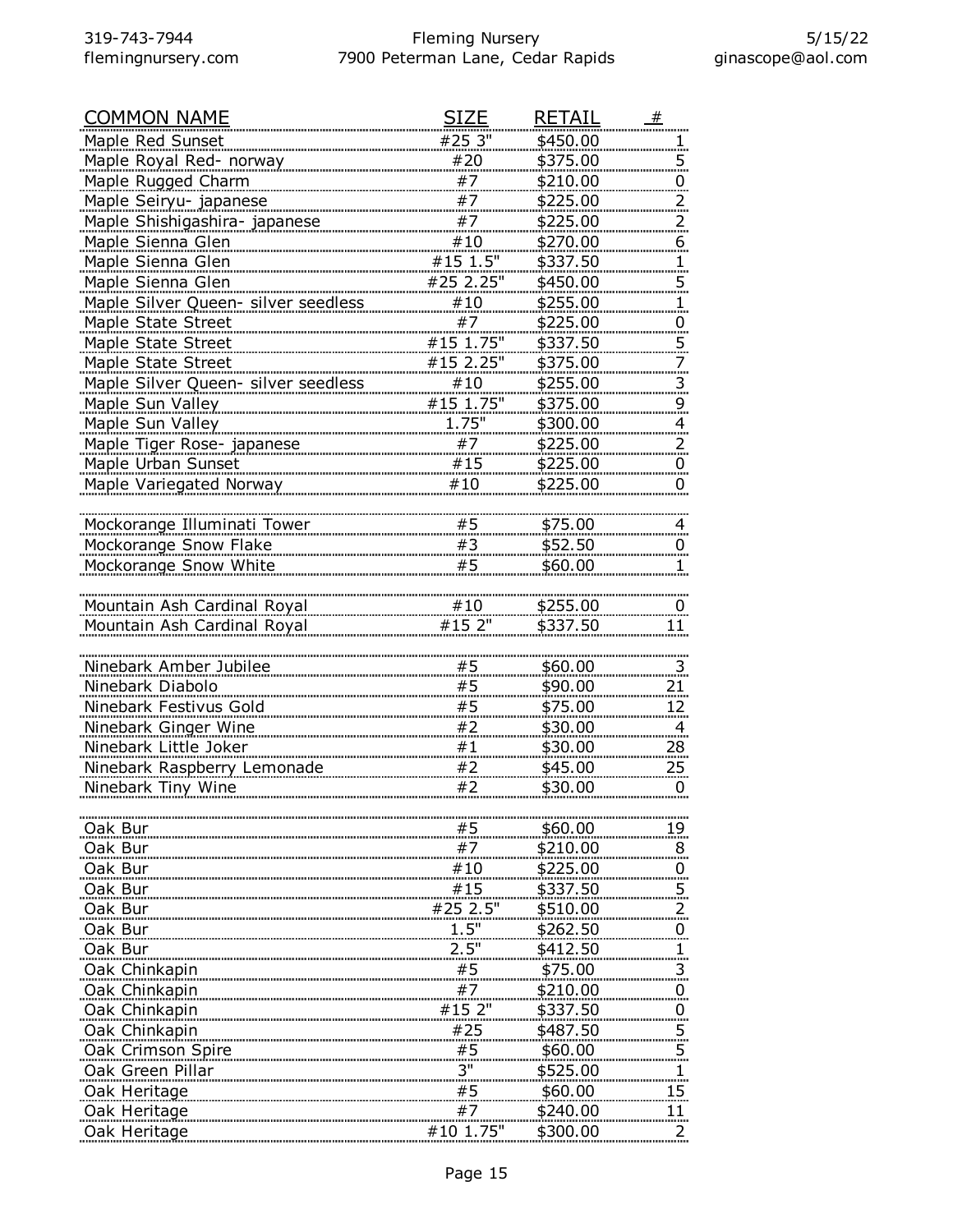| <b>COMMON NAME</b>                  | SIZE                  | <b>RETAIL</b>   | #                       |
|-------------------------------------|-----------------------|-----------------|-------------------------|
| Maple Red Sunset                    | #25 3"                | \$450.00        | Ξ.                      |
| Maple Royal Red- norway             | #20                   | \$375.00        | $\overline{5}$          |
| Maple Rugged Charm                  | #7                    | \$210.00        | $\overline{0}$          |
| Maple Seiryu- japanese              | #7                    | \$225.00        | 2.                      |
| Maple Shishigashira- japanese       | #7                    | \$225.00        | 2.                      |
| Maple Sienna Glen                   | #10                   | \$270.00        | <u>6.</u>               |
| Maple Sienna Glen                   | #15 1.5"              | \$337.50        | 1.                      |
| Maple Sienna Glen                   | $#25$ 2.25"           | \$450.00        | 5                       |
| Maple Silver Queen- silver seedless | #10                   | \$255.00        | 1.                      |
| Maple State Street                  | #7                    | \$225.00        | 0                       |
| Maple State Street                  | #15 1.75"             | \$337.50        | 5                       |
| Maple State Street                  | #15 2.25"             | \$375.00        | 7                       |
| Maple Silver Queen- silver seedless | #10                   | \$255.00        | $\overline{\mathbf{3}}$ |
| Maple Sun Valley                    | $\frac{1}{115}$ 1.75" | \$375.00        | 9                       |
| Maple Sun Valley                    | 1.75"                 | \$300.00        | $\overline{4}$          |
| Maple Tiger Rose- japanese          | #7                    | \$225.00        | 2.                      |
| Maple Urban Sunset                  | #15                   | \$225.00        | $\overline{0}$          |
| Maple Variegated Norway             | #10                   | \$225.00        | 0                       |
|                                     |                       |                 |                         |
| Mockorange Illuminati Tower         | #5                    | \$75.00         | 4                       |
| Mockorange Snow Flake               | #3                    | \$52.50         | $\overline{0}$          |
| Mockorange Snow White               | #5                    | \$60.00         | 1.                      |
|                                     |                       |                 |                         |
| Mountain Ash Cardinal Royal         | #10                   | \$255.00        | $\overline{0}$          |
| Mountain Ash Cardinal Royal         | #15 2"                | \$337.50        | 11                      |
|                                     |                       |                 |                         |
| Ninebark Amber Jubilee              | #5                    | \$60.00         | $\overline{\mathbf{3}}$ |
| Ninebark Diabolo                    | #5                    | \$90.00         | <u> 21 </u>             |
| Ninebark Festivus Gold              | #5                    | \$75.00         | <u>12</u>               |
| Ninebark Ginger Wine                | #2                    | \$30.00         | $\overline{a}$          |
| Ninebark Little Joker               | #1                    | \$30.00         | 28                      |
| Ninebark Raspberry Lemonade         | #2                    | \$45.00         | 25                      |
| Ninebark Tiny Wine                  | #2                    | \$30.00         | $\overline{0}$          |
|                                     |                       |                 |                         |
| Oak Bur                             | #5                    | \$60.00         | 19                      |
| Oak Bur                             | #7                    | \$210.00        | 8.                      |
| Oak Bur                             | #10                   | \$225.00        | $\overline{0}$          |
| Oak Bur                             | #15<br>#25 2.5"       | \$337.50        | 5                       |
| Oak Bur                             |                       | <u>\$510.00</u> |                         |
| Oak Bur                             | 1.5"                  | <u>\$262.50</u> |                         |
| Oak Bur                             | 2.5"                  | \$412.50        |                         |
| Oak Chinkapin                       | #5                    | \$75.00         |                         |
| Oak Chinkapin                       | #7                    | \$210.00        | $\overline{0}$ .        |
| Oak Chinkapin                       | #15 2"                | \$337.50        | $\overline{0}$          |
| Oak Chinkapin                       | #25                   | \$487.50        | $\overline{5}$          |
| Oak Crimson Spire                   | #5                    | \$60.00         | 5                       |
| Oak Green Pillar                    | 3"                    | \$525.00        |                         |
| Oak Heritage                        | #5                    | \$60.00         | 15                      |
| Oak Heritage                        | #7                    | \$240.00        | <u>11.</u>              |
| Oak Heritage                        | #10 1.75"             | \$300.00        | 2                       |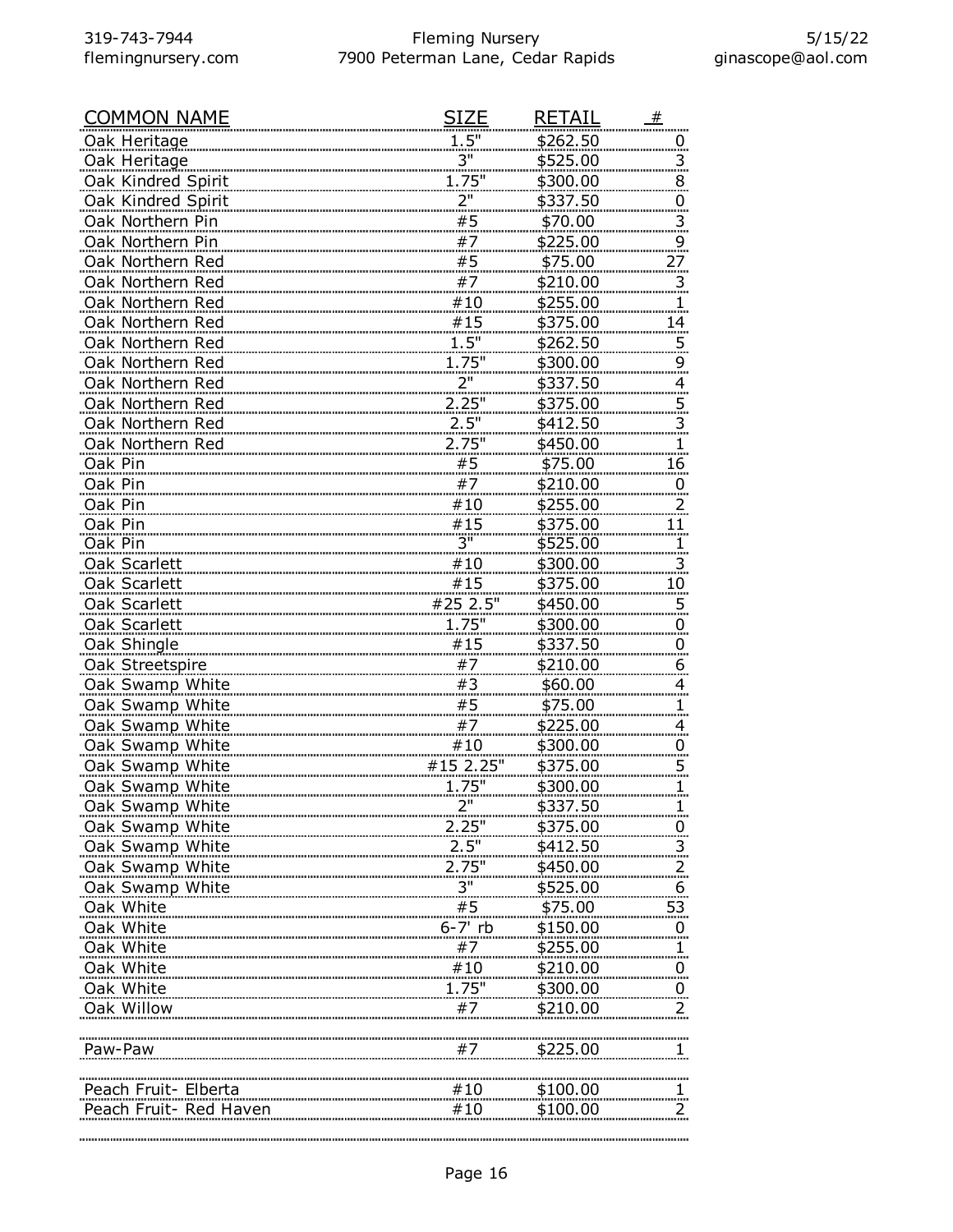| <u>COMMON NAME</u>     | <b>SIZE</b>                                                                  | RETAIL                    | #                       |
|------------------------|------------------------------------------------------------------------------|---------------------------|-------------------------|
| Oak Heritage           | 1.5"                                                                         | \$262.50                  | υ                       |
| Oak Heritage           | 3"                                                                           | \$525.00                  | 3.                      |
| Oak Kindred Spirit     | <br>.1.75"                                                                   | <u>\$300.00</u>           | 8                       |
| Oak Kindred Spirit     | 2"                                                                           | \$337.50                  | 0                       |
| Oak Northern Pin       | #5                                                                           | \$70.00                   | $\overline{\mathbf{3}}$ |
| Oak Northern Pin       | #7                                                                           | \$225.00                  | $\overline{9}$          |
| Oak Northern Red       | #5                                                                           | \$75.00                   | <u>27</u>               |
| Oak Northern Red       | #7                                                                           | \$210.00                  | 3                       |
| Oak Northern Red       | #10                                                                          | \$255.00                  |                         |
| Oak Northern Red       | <u>#15</u>                                                                   | \$375.00                  | 14                      |
| Oak Northern Red       | 1.5"                                                                         | \$262.50                  | 5                       |
| Oak Northern Red       | 1.75"                                                                        | \$300.00                  | 9                       |
| Oak Northern Red       | 2"                                                                           | \$337.50                  | $\overline{4}$          |
| Oak Northern Red       | $2.25$ "<br>$2.5$ "                                                          | \$375.00                  | 5.                      |
| Oak Northern Red       |                                                                              | \$412.50                  | 3                       |
| Oak Northern Red       | 2.75"                                                                        | \$450.00                  |                         |
| Oak Pin                | #5                                                                           | \$75.00                   | 16                      |
| Oak Pin                | #7                                                                           | \$210.00                  | 0                       |
| Oak Pin                | #10                                                                          | \$255.00                  | <u>2.</u>               |
| Oak Pin                |                                                                              |                           | 11                      |
| Oak Pin                | $\begin{array}{c} 4.15 \\ 3 \end{array}$<br>$\begin{array}{c} 3 \end{array}$ | $\frac{$375.00}{$525.00}$ |                         |
| Oak Scarlett           |                                                                              | <u>\$300.00</u>           | 3                       |
| Oak Scarlett           | #15                                                                          | \$375.00                  | 10                      |
| Oak Scarlett           | #25 2.5"                                                                     | \$450.00                  | 5.                      |
| Oak Scarlett           | 1.75"                                                                        | \$300.00                  | $\overline{0}$          |
| Oak Shingle            | #15                                                                          | \$337.50                  | $\overline{0}$          |
| Oak Streetspire        | $\begin{array}{c} \n#7 \\ \#3\n\end{array}$                                  | \$210.00                  | 6                       |
| Oak Swamp White        |                                                                              | \$60.00                   | 4                       |
| Oak Swamp White        | #5                                                                           | \$75.00                   |                         |
| Oak Swamp White        | #7                                                                           | \$225.00                  | 4.                      |
| Oak Swamp White        | #10                                                                          | \$300.00                  | $\overline{0}$ .        |
| Oak Swamp White        | #15 2.25"                                                                    | \$375.00                  | $\overline{5}$ .        |
| Oak Swamp White        | 1.75"                                                                        | \$300.00                  |                         |
| <u>Oak Swamp White</u> |                                                                              | <u>\$337.50</u>           |                         |
| Oak Swamp White        | 2.25"                                                                        | \$375.00                  |                         |
| Oak Swamp White        |                                                                              | \$412.50                  |                         |
| Oak Swamp White        | 2.75"                                                                        | \$450.00                  |                         |
| Oak Swamp White        | $3"$                                                                         | \$525.00                  | 6                       |
| Oak White              | $\frac{3}{7}$                                                                | \$75.00                   | 53                      |
| Oak White              | $6-7'$ rb                                                                    | \$150.00                  | $\overline{0}$          |
| Oak White              | #7                                                                           | \$255.00                  |                         |
| Oak White              | #10                                                                          | \$210.00                  | $\overline{0}$          |
| Oak White              | 1.75"                                                                        | \$300.00                  | $\overline{0}$          |
| Oak Willow             | #7                                                                           | \$210.00                  |                         |
|                        |                                                                              |                           |                         |
| Paw-Paw                |                                                                              | \$225.00                  |                         |
|                        |                                                                              |                           |                         |
| Peach Fruit- Elberta   | #10                                                                          | \$100.00                  |                         |
| Peach Fruit- Red Haven | #10                                                                          | \$100.00                  | 2.                      |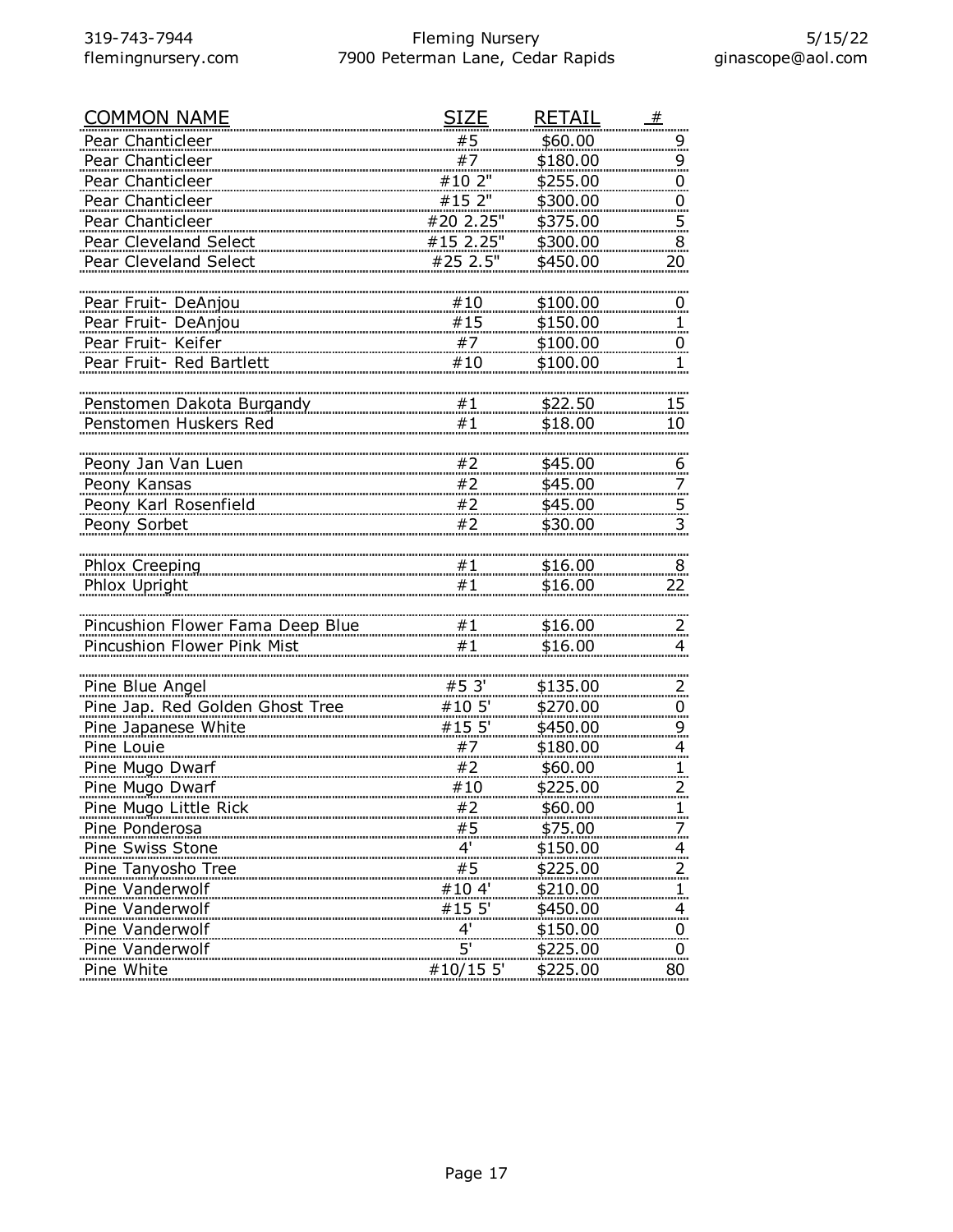| <b>COMMON NAME</b>               | SIZE                 | <b>RETAIL</b>   | _#               |
|----------------------------------|----------------------|-----------------|------------------|
| Pear Chanticleer                 | #5                   | \$60.00         | <u>9</u>         |
| Pear Chanticleer                 | #7                   | \$180.00        | 9                |
| Pear Chanticleer                 | #10 2"               | \$255.00        | $\overline{0}$   |
| Pear Chanticleer                 | #15 2"               | \$300.00        | $\overline{0}$   |
| Pear Chanticleer                 | #20 2.25"            | \$375.00        | 5 <sub>1</sub>   |
| Pear Cleveland Select            | #15 2.25"            | \$300.00        | 8                |
| Pear Cleveland Select            | #25 2.5"             | \$450.00        | 20               |
|                                  |                      |                 |                  |
| Pear Fruit- DeAnjou              | #10                  | \$100.00        | $\overline{0}$   |
| Pear Fruit- DeAnjou              | #15                  | \$150.00        | $\mathbf{1}$     |
| Pear Fruit- Keifer               | #7                   | \$100.00        | $\overline{0}$   |
| Pear Fruit- Red Bartlett         | #10                  | \$100.00        |                  |
|                                  |                      |                 |                  |
| Penstomen Dakota Burgandy        | #1                   | \$22.50         | 15               |
| Penstomen Huskers Red            | #1                   | \$18.00         | 10               |
|                                  |                      |                 |                  |
| Peony Jan Van Luen               | #2                   | \$45.00         | 6                |
| Peony Kansas                     | #2                   | \$45.00         | $\overline{7}$   |
| Peony Karl Rosenfield            | #2                   | \$45.00         | <u>5.</u>        |
| Peony Sorbet                     | #2                   | \$30.00         | 3                |
|                                  |                      |                 |                  |
| <b>Phlox Creeping</b>            | #1                   | \$16.00         | $8 \overline{)}$ |
| Phlox Upright                    | #1                   | \$16.00         | 22               |
|                                  |                      |                 |                  |
| Pincushion Flower Fama Deep Blue | #1                   | \$16.00         | 2.               |
| Pincushion Flower Pink Mist      | #1                   | \$16.00         | 4                |
|                                  |                      |                 |                  |
| Pine Blue Angel                  | #53'                 | \$135.00        | $\overline{2}$ . |
| Pine Jap. Red Golden Ghost Tree  | #10 5'               | \$270.00        | $\overline{0}$   |
| Pine Japanese White              | #15 5'               | \$450.00        | <u>9.</u>        |
| Pine Louie                       | #7                   | \$180.00        | $\overline{4}$   |
| Pine Mugo Dwarf                  | #2                   | \$60.00         |                  |
| Pine Mugo Dwarf                  | #10                  | \$225.00        | $\overline{z}$   |
| Pine Mugo Little Rick            | #2                   | \$60.00         |                  |
| Pine Ponderosa                   | #5                   | \$75.00         |                  |
| Pine Swiss Stone                 | $\frac{4}{3}$        | \$150.00        |                  |
| Pine Tanyosho Tree               | #5                   | \$225.00        |                  |
| Pine Vanderwolf                  | #104'                | \$210.00        |                  |
| Pine Vanderwolf                  | #15 5'               | \$450.00        |                  |
| Pine Vanderwolf                  |                      | \$150.00        |                  |
| Pine Vanderwolf                  | 4'<br>5 <sup>1</sup> | \$225.00        | $\overline{0}$   |
| Pine White                       | #10/15 5'            |                 | <u>.0.</u>       |
|                                  |                      | <u>\$225.00</u> | 80               |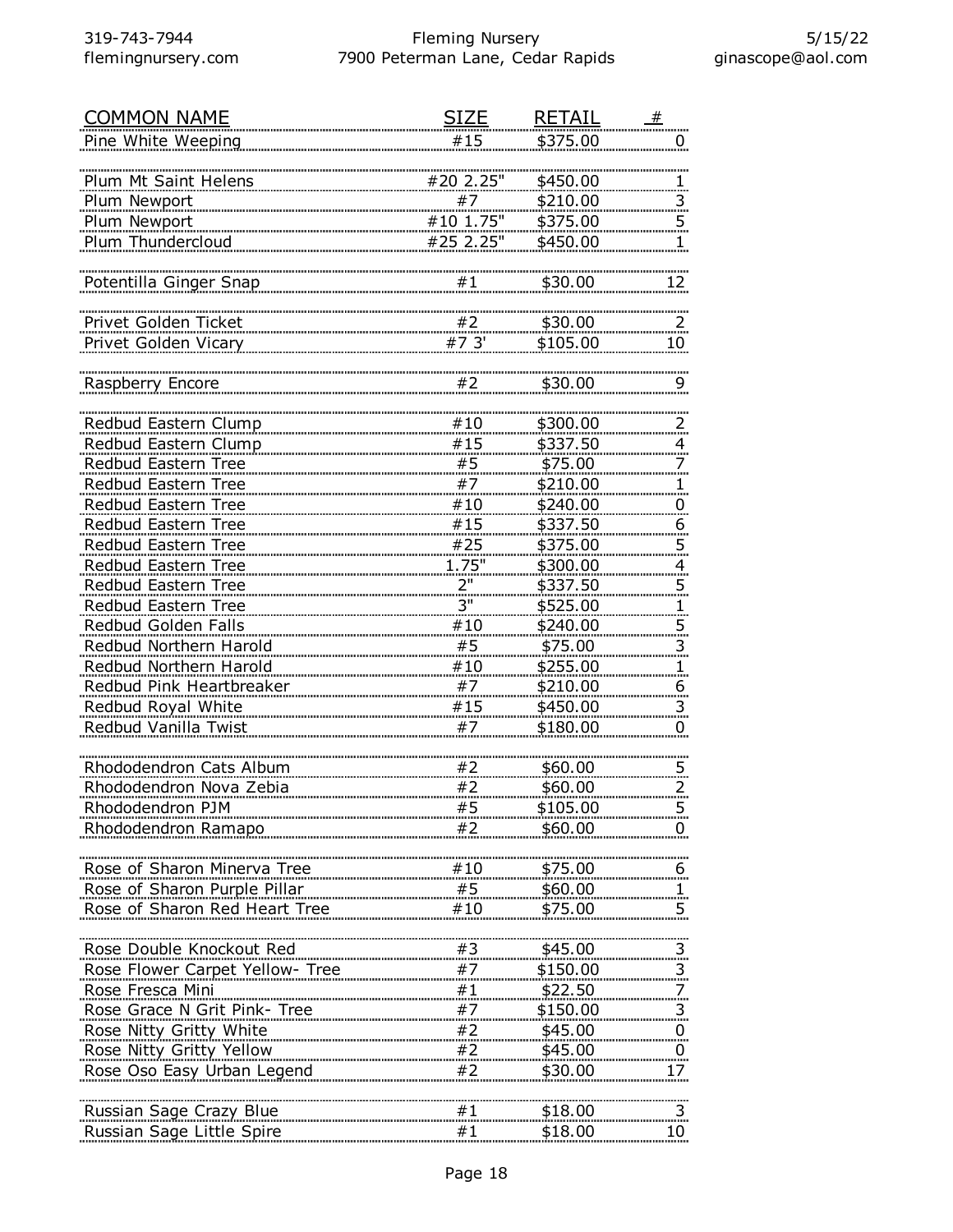| <b>COMMON NAME</b>              | <b>SIZE</b> | RETAIL          | #                       |
|---------------------------------|-------------|-----------------|-------------------------|
| Pine White Weeping              | #15         | \$375.00        | U                       |
|                                 |             |                 |                         |
| Plum Mt Saint Helens            | #20 2.25"   | \$450.00        |                         |
| Plum Newport                    | #7          | \$210.00        | $\overline{3}$          |
| Plum Newport                    | $#10$ 1.75" | \$375.00        | $\overline{5}$          |
| Plum Thundercloud               | #25 2.25"   | \$450.00        | 1                       |
|                                 |             |                 |                         |
| Potentilla Ginger Snap          | #1          | \$30.00         | 12                      |
|                                 |             |                 |                         |
|                                 |             |                 |                         |
| Privet Golden Ticket            | #2          | \$30.00         | $\overline{2}$          |
| Privet Golden Vicary            | #7 3'       | \$105.00        | 10                      |
|                                 |             |                 |                         |
| Raspberry Encore                | #2          | \$30.00         | 9                       |
|                                 |             |                 |                         |
| Redbud Eastern Clump            | #10         | \$300.00        | $\overline{z}$          |
| Redbud Eastern Clump            | #15         | \$337.50        | $\overline{4}$          |
| Redbud Eastern Tree             | #5          | \$75.00         | 7                       |
| Redbud Eastern Tree             | #7          | \$210.00        | 1.                      |
| Redbud Eastern Tree             | #10         | \$240.00        | $\overline{0}$          |
| Redbud Eastern Tree             | #15         | \$337.50        | $\overline{6}$          |
| Redbud Eastern Tree             | #25         | \$375.00        | $\overline{5}$          |
|                                 | 1.75"       |                 |                         |
| Redbud Eastern Tree             |             | \$300.00        | $\overline{4}$          |
| Redbud Eastern Tree             | 2"          | \$337.50        | $\overline{5}$          |
| Redbud Eastern Tree             | 3"          | \$525.00        | $\mathbf{1}$            |
| Redbud Golden Falls             | #10         | \$240.00        | $\overline{5}$          |
| Redbud Northern Harold          | #5          | \$75.00         | $\overline{3}$          |
| Redbud Northern Harold          | #10         | \$255.00        | 1.                      |
| Redbud Pink Heartbreaker        | #7          | \$210.00        | 6                       |
| Redbud Royal White              | #15         | \$450.00        | $\overline{\mathbf{3}}$ |
| Redbud Vanilla Twist            | #7          | \$180.00        | 0                       |
|                                 |             |                 |                         |
| Rhododendron Cats Album         | #2          | \$60.00         | $\overline{5}$          |
| Rhododendron Nova Zebia         | #2          | \$60.00         | $\overline{2}$          |
| Rhododendron PJM                | #5          |                 |                         |
|                                 |             | <u>\$105.00</u> |                         |
| Rhododendron Ramapo             | #2          | \$60.00         | U                       |
|                                 |             |                 |                         |
| Rose of Sharon Minerva Tree     | #10         | \$75.00         | <u>6</u>                |
| Rose of Sharon Purple Pillar    | #5          | \$60.00         | 1                       |
| Rose of Sharon Red Heart Tree   | #10         | \$75.00         | 5                       |
|                                 |             |                 |                         |
| Rose Double Knockout Red        | #3          | \$45.00         | $\overline{\mathbf{3}}$ |
| Rose Flower Carpet Yellow- Tree | #7          | \$150.00        | 3                       |
| Rose Fresca Mini                | #1          | \$22.50         | 7                       |
| Rose Grace N Grit Pink- Tree    | #7          | \$150.00        | $\overline{\mathbf{3}}$ |
| Rose Nitty Gritty White         | #2          | \$45.00         | $\overline{0}$          |
| Rose Nitty Gritty Yellow        | #2          | \$45.00         | $\overline{0}$          |
| Rose Oso Easy Urban Legend      | #2          | \$30.00         |                         |
|                                 |             |                 | 17                      |
|                                 |             |                 |                         |
| Russian Sage Crazy Blue         | #1          | \$18.00         | $\overline{3}$          |
| Russian Sage Little Spire       | #1          | \$18.00         | 10                      |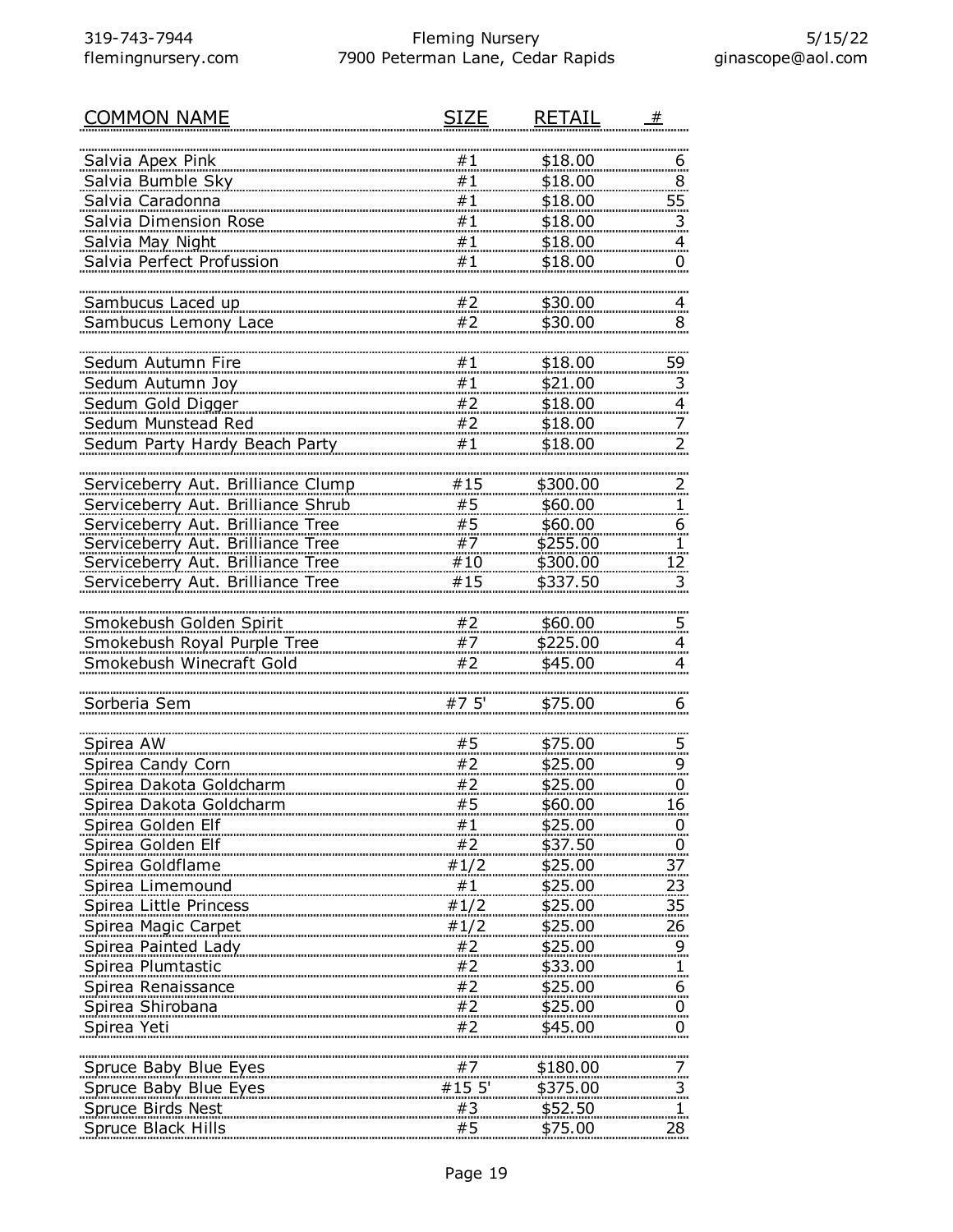| <b>COMMON NAME</b>                 | SIZE                                                          | RETAIL         |                 |
|------------------------------------|---------------------------------------------------------------|----------------|-----------------|
| Salvia Apex Pink                   | #1                                                            | \$18.00        |                 |
| Salvia Bumble Sky                  | #1                                                            | \$18.00        | 6<br>8          |
| Salvia Caradonna                   | #1                                                            | \$18.00        | 55              |
| Salvia Dimension Rose              | #1                                                            | \$18.00        | 3               |
| Salvia May Night                   | #1                                                            | \$18.00        | 4               |
| Salvia Perfect Profussion          | #1                                                            | \$18.00        | 0               |
|                                    |                                                               |                |                 |
| Sambucus Laced up                  | #2                                                            | \$30.00        | $\overline{4}$  |
| Sambucus Lemony Lace               | #2                                                            | \$30.00        | 8               |
|                                    |                                                               |                |                 |
| Sedum Autumn Fire                  | #1                                                            | \$18.00        | <u>59 </u>      |
| Sedum Autumn Joy                   | #1                                                            | \$21.00        | $\overline{3}$  |
| Sedum Gold Digger                  | #2                                                            | \$18.00        | $\overline{a}$  |
| Sedum Munstead Red                 | #2                                                            | \$18.00        |                 |
| Sedum Party Hardy Beach Party      | #1                                                            | \$18.00        | $\overline{2}$  |
|                                    |                                                               |                |                 |
| Serviceberry Aut. Brilliance Clump | #15                                                           | \$300.00       |                 |
| Serviceberry Aut. Brilliance Shrub | #5                                                            | \$60.00        | 1               |
| Serviceberry Aut. Brilliance Tree  | #5                                                            | \$60.00        | 6               |
| Serviceberry Aut. Brilliance Tree  | #7                                                            | \$255.00       |                 |
| Serviceberry Aut. Brilliance Tree  | #10                                                           | \$300.00       | 12.             |
| Serviceberry Aut. Brilliance Tree  | #15                                                           | \$337.50       | 3               |
| Smokebush Golden Spirit            | #2                                                            | \$60.00        |                 |
| Smokebush Royal Purple Tree        | #7                                                            | \$225.00       | 5<br>4          |
| Smokebush Winecraft Gold           | #2                                                            | \$45.00        | 4               |
|                                    |                                                               |                |                 |
| Sorberia Sem                       | #75'                                                          | \$75.00        | 6               |
|                                    |                                                               |                |                 |
| Spirea AW                          | #5                                                            | \$75.00        | 5.              |
| Spirea Candy Corn                  | #2                                                            | \$25.00        | 9               |
| Spirea Dakota Goldcharm            | #2                                                            | \$25.00        | 0               |
| <u>Spirea Dakota Goldcharm</u>     | #5                                                            | <u>\$60.00</u> | 16              |
| Spirea Golden Elf                  | #1                                                            | \$25.00        |                 |
| Spirea Golden Elf                  | $\#2$                                                         | \$37.50        | $\overline{0}$  |
| Spirea Goldflame                   | #1/2                                                          | \$25.00        | 37              |
| Spirea Limemound                   | #1                                                            | <u>\$25.00</u> | 23              |
| Spirea Little Princess             | #1/2                                                          | <u>\$25.00</u> | 35 <sub>.</sub> |
| Spirea Magic Carpet                | #1/2                                                          | \$25.00        | 26              |
| Spirea Painted Lady                | #2                                                            | \$25.00        |                 |
| Spirea Plumtastic                  |                                                               | \$33.00        |                 |
| Spirea Renaissance                 |                                                               | \$25.00        | 6               |
| Spirea Shirobana                   | $\begin{array}{c} 42 \\ +2 \\ +2 \\ +2 \\ \hline \end{array}$ | \$25.00        | $\overline{0}$  |
| Spirea Yeti                        | #2                                                            | \$45.00        | $\overline{0}$  |
|                                    |                                                               |                |                 |
| Spruce Baby Blue Eyes              | #7                                                            | \$180.00       |                 |
| Spruce Baby Blue Eyes              | #15 5'                                                        | \$375.00       | $\overline{3}$  |
| Spruce Birds Nest                  | $\begin{array}{c} \#3 \\ \#5 \end{array}$                     | \$52.50        | 1.              |
| Spruce Black Hills                 |                                                               | \$75.00        | 28              |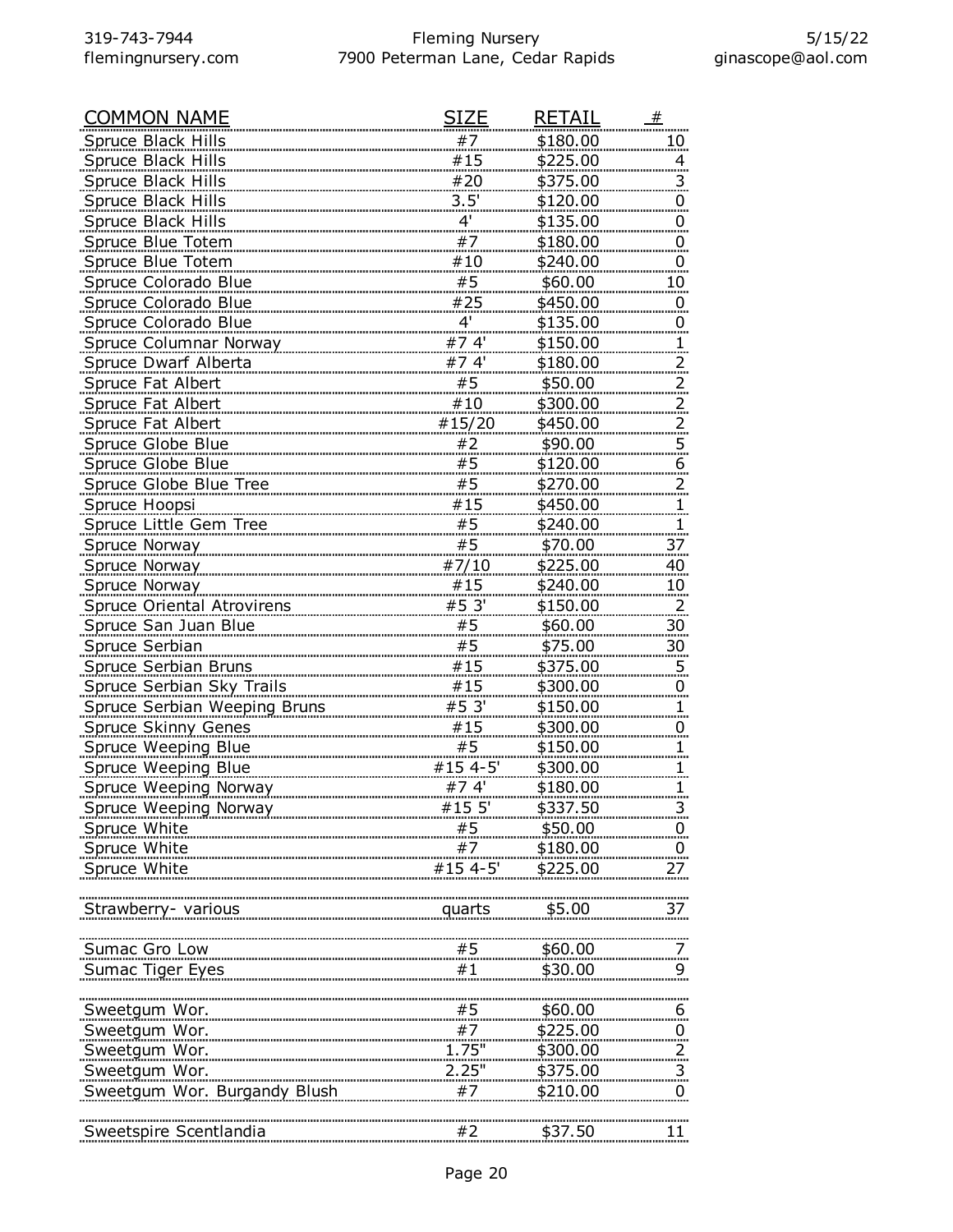| <b>COMMON NAME</b>                                                                                                                            | SIZE                                                                                                                                                                                                                                                                                                                                                                                                                                                          | RETAIL               | #                       |
|-----------------------------------------------------------------------------------------------------------------------------------------------|---------------------------------------------------------------------------------------------------------------------------------------------------------------------------------------------------------------------------------------------------------------------------------------------------------------------------------------------------------------------------------------------------------------------------------------------------------------|----------------------|-------------------------|
| Spruce Black Hills                                                                                                                            | #7                                                                                                                                                                                                                                                                                                                                                                                                                                                            | \$180.00             | 10                      |
| Spruce Black Hills                                                                                                                            | #15                                                                                                                                                                                                                                                                                                                                                                                                                                                           | \$225.00             | 4                       |
| Spruce Black Hills                                                                                                                            | #20                                                                                                                                                                                                                                                                                                                                                                                                                                                           | \$375.00             | 3.                      |
| <b>Spruce Black Hills</b>                                                                                                                     | 3.5'                                                                                                                                                                                                                                                                                                                                                                                                                                                          | <u>\$120.00</u>      | $\overline{0}$          |
| Spruce Black Hills                                                                                                                            | $4^{\prime}$                                                                                                                                                                                                                                                                                                                                                                                                                                                  | \$135.00             | $\overline{0}$          |
| Spruce Blue Totem                                                                                                                             | #7                                                                                                                                                                                                                                                                                                                                                                                                                                                            | \$180.00             | 0                       |
| Spruce Blue Totem                                                                                                                             | #10                                                                                                                                                                                                                                                                                                                                                                                                                                                           | \$240.00             | 0                       |
| Spruce Colorado Blue                                                                                                                          | #5                                                                                                                                                                                                                                                                                                                                                                                                                                                            | \$60.00              | $10 \,$                 |
| Spruce Colorado Blue                                                                                                                          | #25                                                                                                                                                                                                                                                                                                                                                                                                                                                           | \$450.00             | $\overline{0}$          |
| Spruce Colorado Blue                                                                                                                          | $\overline{4}$                                                                                                                                                                                                                                                                                                                                                                                                                                                | <u>\$135.00</u>      | 0                       |
| <b>Spruce Columnar Norway</b>                                                                                                                 | #7.4'                                                                                                                                                                                                                                                                                                                                                                                                                                                         | \$150.00             |                         |
| <b>Spruce Dwarf Alberta</b>                                                                                                                   | #74'                                                                                                                                                                                                                                                                                                                                                                                                                                                          | \$180.00             |                         |
| Spruce Fat Albert                                                                                                                             | #5                                                                                                                                                                                                                                                                                                                                                                                                                                                            | \$50.00              | 2.                      |
| Spruce Fat Albert                                                                                                                             | #10                                                                                                                                                                                                                                                                                                                                                                                                                                                           | \$300.00             |                         |
|                                                                                                                                               | #15/20                                                                                                                                                                                                                                                                                                                                                                                                                                                        | \$450.00             |                         |
| Spruce Fat Albert                                                                                                                             |                                                                                                                                                                                                                                                                                                                                                                                                                                                               |                      | $\overline{2}$          |
| Spruce Globe Blue                                                                                                                             | #2                                                                                                                                                                                                                                                                                                                                                                                                                                                            | \$90.00              | $\overline{5}$          |
| Spruce Globe Blue                                                                                                                             | #5                                                                                                                                                                                                                                                                                                                                                                                                                                                            | \$120.00             | 6                       |
| Spruce Globe Blue Tree                                                                                                                        | #5                                                                                                                                                                                                                                                                                                                                                                                                                                                            | \$270.00             |                         |
| Spruce Hoopsi                                                                                                                                 | #15                                                                                                                                                                                                                                                                                                                                                                                                                                                           | \$450.00             |                         |
| Spruce Little Gem Tree                                                                                                                        | #5                                                                                                                                                                                                                                                                                                                                                                                                                                                            | \$240.00             |                         |
| <b>Spruce Norway</b>                                                                                                                          | #5                                                                                                                                                                                                                                                                                                                                                                                                                                                            | \$70.00              | 37                      |
| Spruce Norway                                                                                                                                 | #7/10                                                                                                                                                                                                                                                                                                                                                                                                                                                         | \$225.00             | 40                      |
| Spruce Norway                                                                                                                                 | #15                                                                                                                                                                                                                                                                                                                                                                                                                                                           | \$240.00             | 10 <sub>2</sub>         |
| <b>Spruce Oriental Atrovirens</b>                                                                                                             | #53'                                                                                                                                                                                                                                                                                                                                                                                                                                                          | \$150.00             | $\overline{2}$          |
| Spruce San Juan Blue                                                                                                                          | #5                                                                                                                                                                                                                                                                                                                                                                                                                                                            | \$60.00              | 30 <sub>2</sub>         |
| Spruce Serbian                                                                                                                                | #5                                                                                                                                                                                                                                                                                                                                                                                                                                                            | \$75.00              | 30                      |
| Spruce Serbian Bruns                                                                                                                          | #15                                                                                                                                                                                                                                                                                                                                                                                                                                                           | \$375.00             | $\overline{5}$          |
| <b>Spruce Serbian Sky Trails</b>                                                                                                              | #15                                                                                                                                                                                                                                                                                                                                                                                                                                                           | \$300.00             | $\overline{0}$          |
| <b>Spruce Serbian Weeping Bruns</b>                                                                                                           | <u>#5 3'</u>                                                                                                                                                                                                                                                                                                                                                                                                                                                  | \$150.00             |                         |
| <b>Spruce Skinny Genes</b>                                                                                                                    | #15                                                                                                                                                                                                                                                                                                                                                                                                                                                           | \$300.00             | 0                       |
| Spruce Weeping Blue                                                                                                                           | #5                                                                                                                                                                                                                                                                                                                                                                                                                                                            | \$150.00             |                         |
| Spruce Weeping Blue                                                                                                                           | #15 4-5'                                                                                                                                                                                                                                                                                                                                                                                                                                                      | \$300.00             |                         |
| <b>Spruce Weeping Norway</b>                                                                                                                  | #74'                                                                                                                                                                                                                                                                                                                                                                                                                                                          | \$180.00             |                         |
| <b>Spruce Weeping Norway</b>                                                                                                                  | #15 5'                                                                                                                                                                                                                                                                                                                                                                                                                                                        | \$337.50             |                         |
| <b>Spruce White</b>                                                                                                                           |                                                                                                                                                                                                                                                                                                                                                                                                                                                               | \$50.00              |                         |
| Spruce White                                                                                                                                  | #7                                                                                                                                                                                                                                                                                                                                                                                                                                                            | \$180.00             | $\overline{0}$          |
| Spruce White                                                                                                                                  | #15 4-5'                                                                                                                                                                                                                                                                                                                                                                                                                                                      | \$225.00             | 27                      |
|                                                                                                                                               |                                                                                                                                                                                                                                                                                                                                                                                                                                                               |                      |                         |
| Strawberry- various<br><b>Product Service Service Service Service Service Service Service Service Service Service Service Service Service</b> |                                                                                                                                                                                                                                                                                                                                                                                                                                                               | \$5.00               | 37                      |
|                                                                                                                                               |                                                                                                                                                                                                                                                                                                                                                                                                                                                               |                      |                         |
| Sumac Gro Low                                                                                                                                 |                                                                                                                                                                                                                                                                                                                                                                                                                                                               | \$60.00              |                         |
| Sumac Tiger Eyes Sumac Tiger                                                                                                                  | #1                                                                                                                                                                                                                                                                                                                                                                                                                                                            | \$30.00              | 9                       |
|                                                                                                                                               |                                                                                                                                                                                                                                                                                                                                                                                                                                                               |                      |                         |
| Sweetgum Wor.                                                                                                                                 |                                                                                                                                                                                                                                                                                                                                                                                                                                                               | \$60.00              | $6 \overline{6}$        |
| Sweetgum Wor.                                                                                                                                 | $\begin{array}{c}\n\overline{1111} \\ \overline{151} \\ \overline{171} \\ \overline{181} \\ \overline{191} \\ \overline{111} \\ \overline{111} \\ \overline{111} \\ \overline{111} \\ \overline{111} \\ \overline{111} \\ \overline{111} \\ \overline{111} \\ \overline{111} \\ \overline{111} \\ \overline{111} \\ \overline{111} \\ \overline{111} \\ \overline{111} \\ \overline{111} \\ \overline{111} \\ \overline{111} \\ \overline{111} \\ \overline{$ | \$225.00             | $\overline{0}$          |
| Sweetgum Wor.                                                                                                                                 | 1.75"                                                                                                                                                                                                                                                                                                                                                                                                                                                         |                      |                         |
| Sweetgum Wor.                                                                                                                                 |                                                                                                                                                                                                                                                                                                                                                                                                                                                               | \$300.00<br>\$375.00 |                         |
| Sweetgum Wor. Burgandy Blush                                                                                                                  |                                                                                                                                                                                                                                                                                                                                                                                                                                                               |                      | $\overline{\mathbf{3}}$ |
|                                                                                                                                               | #7                                                                                                                                                                                                                                                                                                                                                                                                                                                            | \$210.00             | $\mathbf{0}$            |
| Sweetspire Scentlandia                                                                                                                        | #2                                                                                                                                                                                                                                                                                                                                                                                                                                                            | \$37.50              | 11                      |
|                                                                                                                                               |                                                                                                                                                                                                                                                                                                                                                                                                                                                               |                      |                         |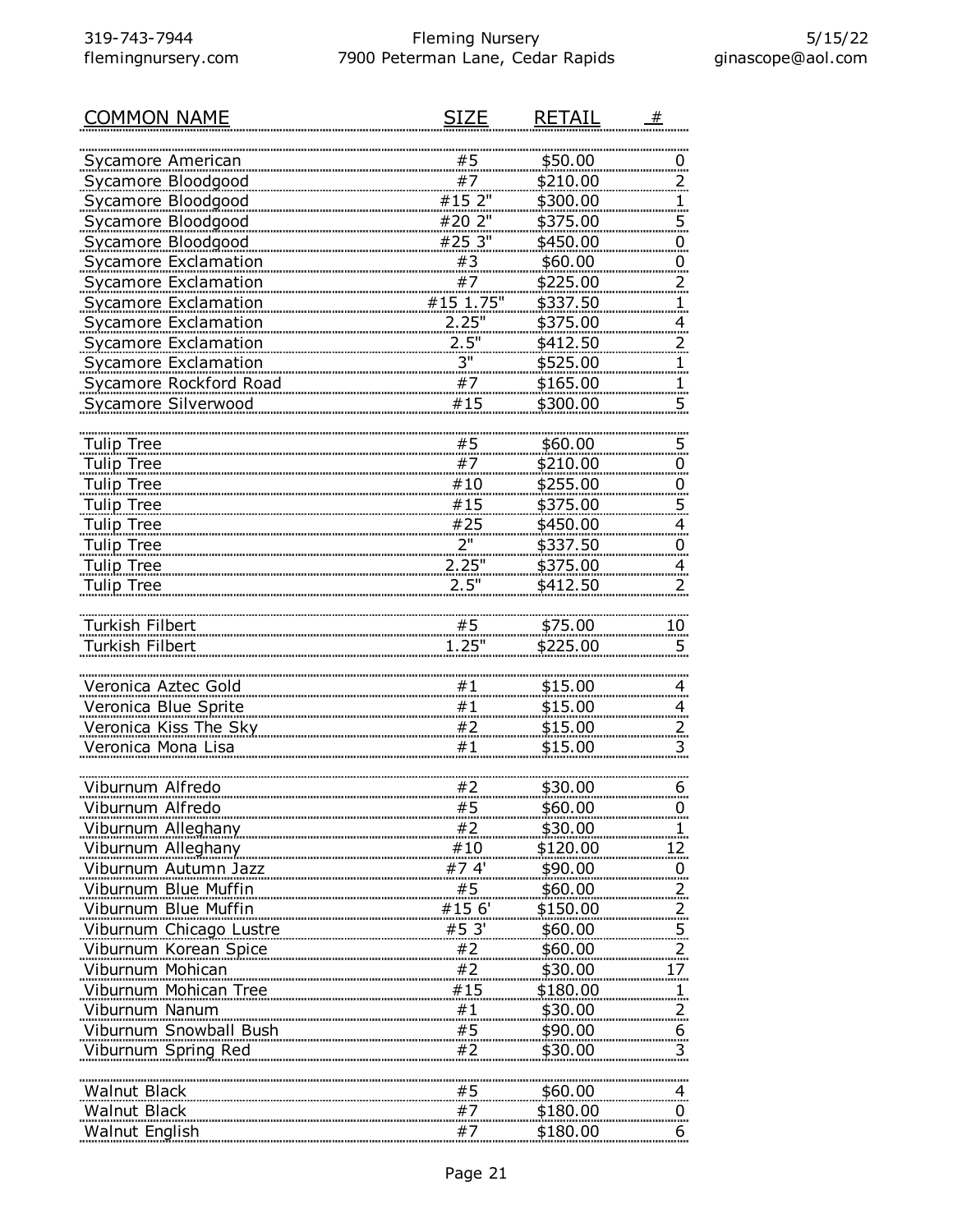| <b>COMMON NAME</b>          | SIZF       | RETAIL   | #                                |
|-----------------------------|------------|----------|----------------------------------|
|                             |            |          |                                  |
| Sycamore American           | #5         | \$50.00  | $\overline{0}$                   |
| Sycamore Bloodgood          | #7         | \$210.00 | <u>2</u>                         |
| Sycamore Bloodgood          | #15 2"     | \$300.00 | $\mathbf{1}$                     |
| Sycamore Bloodgood          | #20 2"     | \$375.00 | $\overline{5}$                   |
| Sycamore Bloodgood          | #25 3"     | \$450.00 | $\overline{0}$                   |
| <b>Sycamore Exclamation</b> | #3         | \$60.00  | $\overline{0}$                   |
| Sycamore Exclamation        | #7         | \$225.00 | $\overline{a}$                   |
| <b>Sycamore Exclamation</b> | #15 1.75"  | \$337.50 | 1                                |
| <b>Sycamore Exclamation</b> | 2.25"      | \$375.00 | $\overline{a}$                   |
| Sycamore Exclamation        | 2.5"<br>3" | \$412.50 | $\overline{a}$                   |
| <b>Sycamore Exclamation</b> | #7         | \$525.00 | $\overline{1}$                   |
| Sycamore Rockford Road      | #15        | \$165.00 | $\mathbf{1}$                     |
| Sycamore Silverwood         |            | \$300.00 | 5                                |
| <b>Tulip Tree</b>           | #5         | \$60.00  |                                  |
| <b>Tulip Tree</b>           | #7         | \$210.00 | $\overline{5}$                   |
| <b>Tulip Tree</b>           | #10        | \$255.00 | $\overline{0}$                   |
| <b>Tulip Tree</b>           | #15        | \$375.00 | $\overline{0}$<br>$\overline{5}$ |
| <b>Tulip Tree</b>           | #25        | \$450.00 | $\overline{a}$                   |
| <b>Tulip Tree</b>           | 2"         | \$337.50 | <u>0</u>                         |
| <b>Tulip Tree</b>           | 2.25"      | \$375.00 | $\overline{a}$                   |
| <b>Tulip Tree</b>           | 2.5"       | \$412.50 | 2                                |
|                             |            |          |                                  |
| Turkish Filbert             | #5         | \$75.00  | 10                               |
| Turkish Filbert             | 1.25"      | \$225.00 | 5                                |
|                             |            |          |                                  |
| Veronica Aztec Gold         | #1         | \$15.00  | $\overline{4}$                   |
| Veronica Blue Sprite        | #1         | \$15.00  | $\overline{a}$                   |
| Veronica Kiss The Sky       | #2         | \$15.00  | $\overline{z}$                   |
| Veronica Mona Lisa          | #1         | \$15.00  | 3                                |
|                             |            |          |                                  |
| Viburnum Alfredo            | #2         | \$30.00  | 6                                |
| Viburnum Alfredo            | #5         | \$60.00  | 0                                |
| Viburnum Alleghany          | #2         | \$30.00  |                                  |
| Viburnum Alleghany          | #10        | \$120.00 | 12.                              |
| Viburnum Autumn Jazz        | #74'       | \$90.00  | $\overline{0}$                   |
| Viburnum Blue Muffin        | #5.        | \$60.00  | $\overline{2}$                   |
| Viburnum Blue Muffin        | #15 6'     | \$150.00 | $\overline{z}$                   |
| Viburnum Chicago Lustre     | #5 3'      | \$60.00  | $\overline{5}$                   |
| Viburnum Korean Spice       | #2         | \$60.00  | $\overline{2}$                   |
| Viburnum Mohican            | #2         | \$30.00  | <u>17 </u>                       |
| Viburnum Mohican Tree       | #15        | \$180.00 | $\mathbf{1}$                     |
| Viburnum Nanum              | #1         | \$30.00  | $\frac{2}{\pi}$                  |
| Viburnum Snowball Bush      | #5         | \$90.00  | 6                                |
| Viburnum Spring Red         | #2         | \$30.00  | 3                                |
|                             |            |          |                                  |
| <b>Walnut Black</b>         | #5         | \$60.00  | 4                                |
| Walnut Black                | #7         | \$180.00 | $\overline{0}$                   |
| Walnut English              | #7         | \$180.00 | 6                                |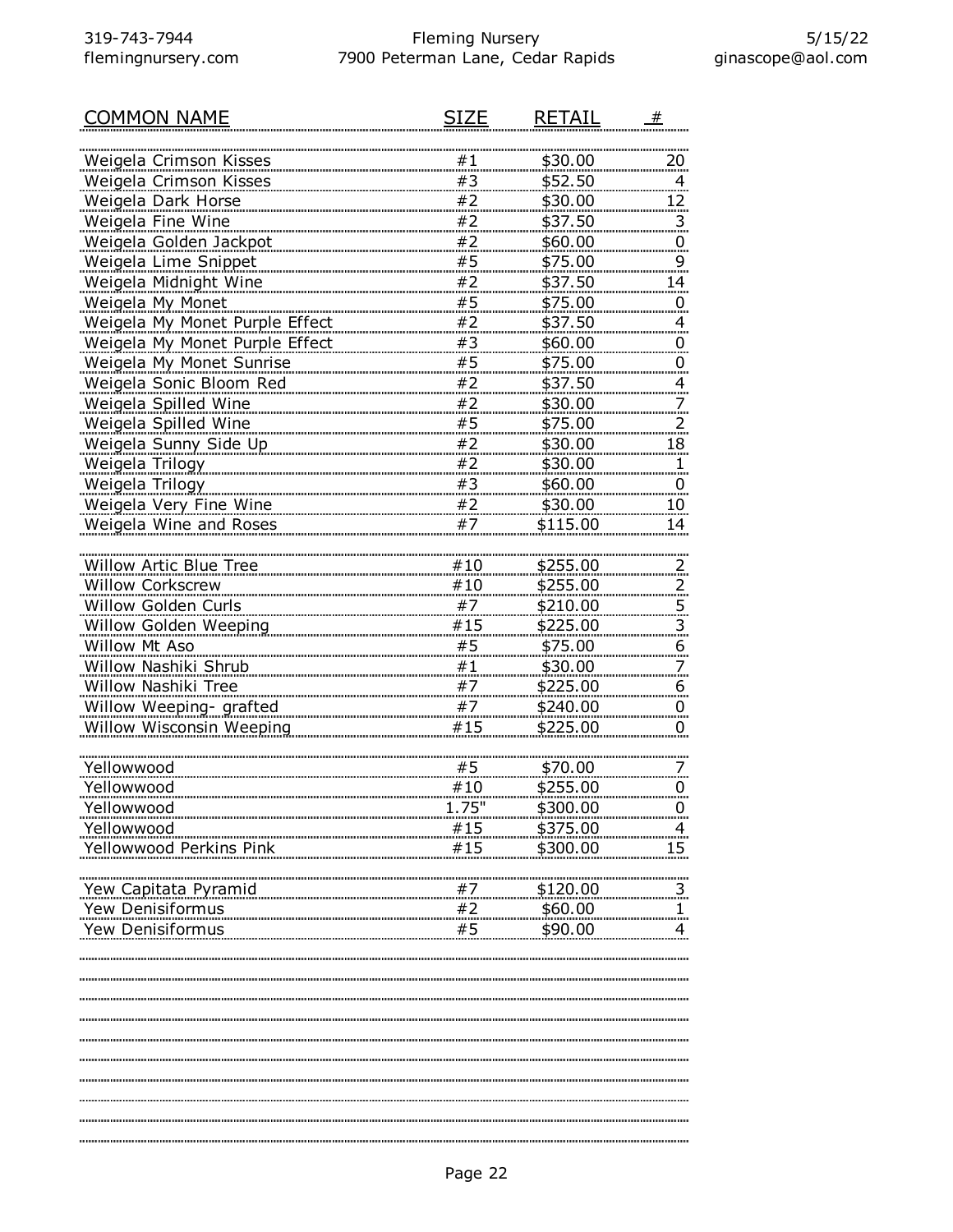| COMMON NAME                    | SIZE  | <b>RETAIL</b> | #                       |
|--------------------------------|-------|---------------|-------------------------|
|                                |       |               |                         |
| Weigela Crimson Kisses         | #1    | \$30.00       | 20                      |
| Weigela Crimson Kisses         | #3    | \$52.50       | 4                       |
| Weigela Dark Horse             | #2    | \$30.00       | <u> 12 </u>             |
| Weigela Fine Wine              | #2    | \$37.50       | $\overline{3}$          |
| Weigela Golden Jackpot         | #2    | \$60.00       | $\overline{0}$          |
| <b>Weigela Lime Snippet</b>    | #5    | \$75.00       | 9                       |
| Weigela Midnight Wine          | #2    | \$37.50       | 14                      |
| Weigela My Monet               | #5    | \$75.00       | 0                       |
| Weigela My Monet Purple Effect | #2    | \$37.50       | 4                       |
| Weigela My Monet Purple Effect | #3    | \$60.00       | $\overline{0}$          |
| Weigela My Monet Sunrise       | #5    | \$75.00       | $\overline{0}$          |
| Weigela Sonic Bloom Red        | #2    | \$37.50       | 4                       |
| Weigela Spilled Wine           | #2    | \$30.00       | 7                       |
| Weigela Spilled Wine           | #5    | \$75.00       | <u>2</u>                |
| Weigela Sunny Side Up          | #2    | \$30.00       | 18                      |
| Weigela Trilogy                | #2    | \$30.00       | 1.                      |
| Weigela Trilogy                | #3    | \$60.00       | $\overline{0}$          |
| Weigela Very Fine Wine         | #2    | \$30.00       | 10                      |
| Weigela Wine and Roses         | #7    | \$115.00      | 14                      |
|                                |       |               |                         |
| <b>Willow Artic Blue Tree</b>  | #10   | \$255.00      | 2.                      |
| Willow Corkscrew               | #10   | \$255.00      | $\overline{z}$          |
| Willow Golden Curls            | #7    | \$210.00      | $\overline{5}$ .        |
| Willow Golden Weeping          | #15   | \$225.00      | $\overline{\mathbf{3}}$ |
| Willow Mt Aso                  | #5    | \$75.00       | 6                       |
| Willow Nashiki Shrub           | #1    | \$30.00       |                         |
| Willow Nashiki Tree            | #7    | \$225.00      | 6                       |
| Willow Weeping- grafted        | #7    | \$240.00      | $\overline{0}$          |
| Willow Wisconsin Weeping       | #15   | \$225.00      | 0                       |
|                                |       |               |                         |
| Yellowwood                     | #5    | \$70.00       |                         |
| Yellowwood                     | #10   | \$255.00      | Ü                       |
| Yellowwood                     | 1.75' | \$300.00      | $\overline{0}$          |
| Yellowwood                     | #15   | \$375.00      | 4                       |
| Yellowwood Perkins Pink        | #15   | \$300.00      | 15                      |
|                                |       |               |                         |
| Yew Capitata Pyramid           | #7    | \$120.00      | 3                       |
| Yew Denisiformus               | #2    | \$60.00       |                         |
| Yew Denisiformus               | #5    | \$90.00       |                         |
|                                |       |               |                         |
|                                |       |               |                         |
|                                |       |               |                         |
|                                |       |               |                         |
|                                |       |               |                         |
|                                |       |               |                         |
|                                |       |               |                         |
|                                |       |               |                         |
|                                |       |               |                         |
|                                |       |               |                         |